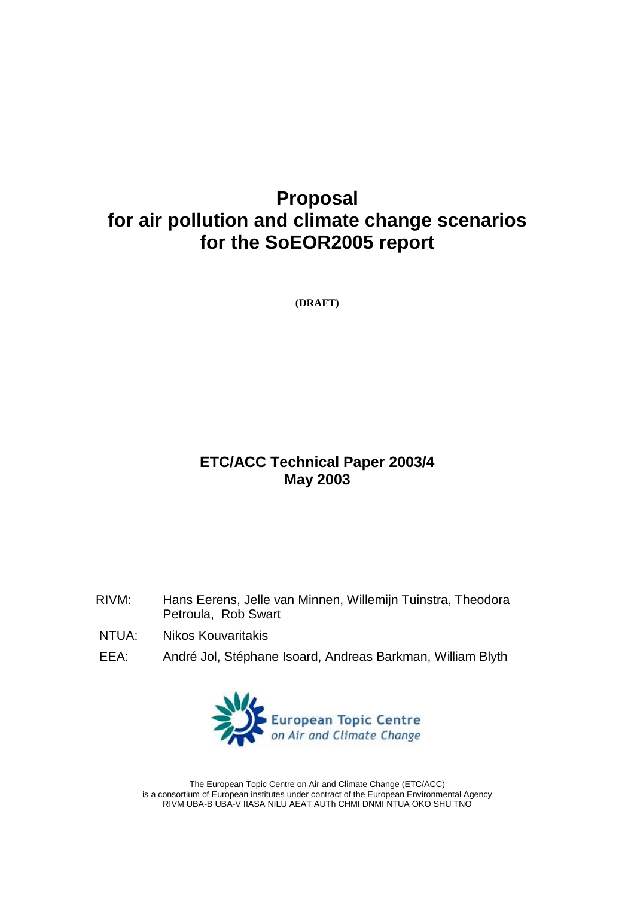# **Proposal for air pollution and climate change scenarios for the SoEOR2005 report**

**(DRAFT)**

# **ETC/ACC Technical Paper 2003/4 May 2003**

- RIVM: Hans Eerens, Jelle van Minnen, Willemijn Tuinstra, Theodora Petroula, Rob Swart
- NTUA: Nikos Kouvaritakis
- EEA: André Jol, Stéphane Isoard, Andreas Barkman, William Blyth



The European Topic Centre on Air and Climate Change (ETC/ACC) is a consortium of European institutes under contract of the European Environmental Agency RIVM UBA-B UBA-V IIASA NILU AEAT AUTh CHMI DNMI NTUA ÖKO SHU TNO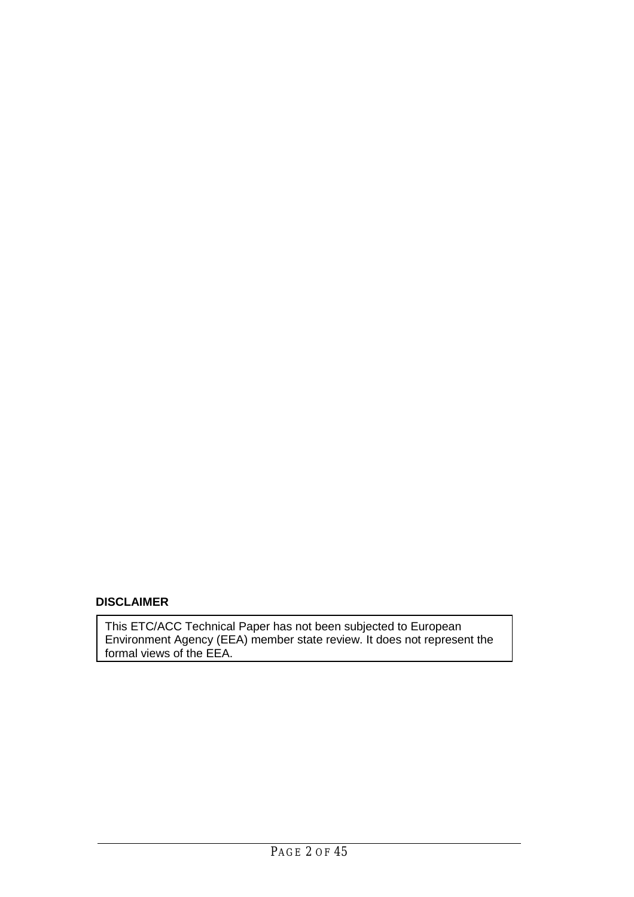# **DISCLAIMER**

This ETC/ACC Technical Paper has not been subjected to European Environment Agency (EEA) member state review. It does not represent the formal views of the EEA.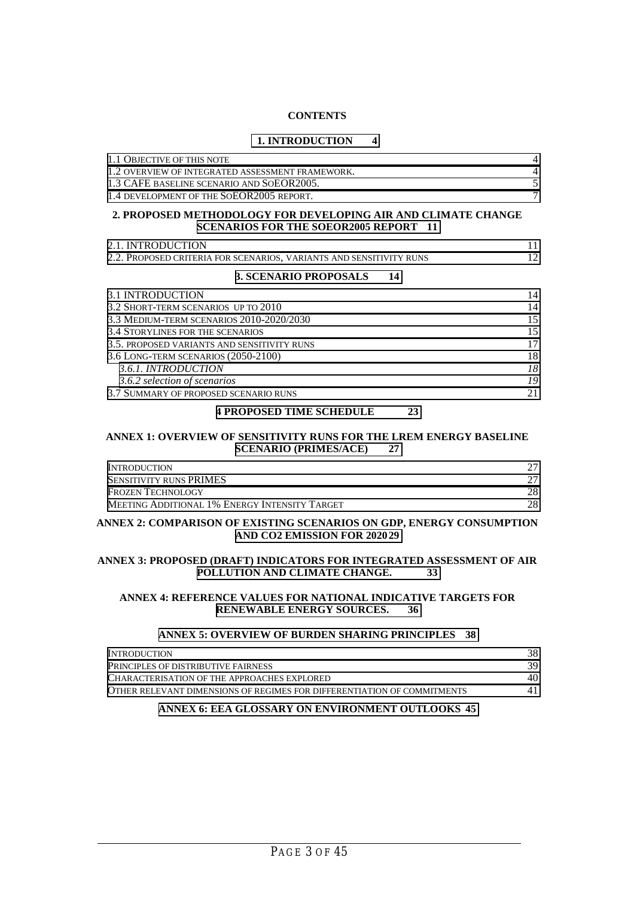#### **CONTENTS**

#### **[1. INTRODUCTION 4](#page-3-0)**

| 1.1 OBJECTIVE OF THIS NOTE                                                                                    | 4              |
|---------------------------------------------------------------------------------------------------------------|----------------|
| 1.2 OVERVIEW OF INTEGRATED ASSESSMENT FRAMEWORK.                                                              | 4              |
| 1.3 CAFE BASELINE SCENARIO AND SOEOR2005.                                                                     | 5              |
| 1.4 DEVELOPMENT OF THE SOEOR2005 REPORT.                                                                      | $\overline{7}$ |
| 2. PROPOSED METHODOLOGY FOR DEVELOPING AIR AND CLIMATE CHANGE<br><b>SCENARIOS FOR THE SOEOR2005 REPORT 11</b> |                |
| 2.1. INTRODUCTION                                                                                             | 11             |
| 2.2. PROPOSED CRITERIA FOR SCENARIOS, VARIANTS AND SENSITIVITY RUNS                                           | 12             |
| 3. SCENARIO PROPOSALS<br>14                                                                                   |                |
| <b>3.1 INTRODUCTION</b>                                                                                       | 14             |
| 3.2 SHORT-TERM SCENARIOS UP TO 2010                                                                           | 14             |
| 3.3 MEDIUM-TERM SCENARIOS 2010-2020/2030                                                                      | 15             |
| <b>3.4 STORYLINES FOR THE SCENARIOS</b>                                                                       | 15             |
| 3.5. PROPOSED VARIANTS AND SENSITIVITY RUNS                                                                   | 17             |
| 3.6 LONG-TERM SCENARIOS (2050-2100)                                                                           | 18             |
| 3.6.1. INTRODUCTION                                                                                           | 18             |
| 3.6.2 selection of scenarios                                                                                  | 19             |
| 3.7 SUMMARY OF PROPOSED SCENARIO RUNS                                                                         | 21             |
| <b>4 PROPOSED TIME SCHEDULE</b><br>23                                                                         |                |
| ANNEX 1: OVERVIEW OF SENSITIVITY RUNS FOR THE LREM ENERGY BASELINE<br><b>SCENARIO (PRIMES/ACE)</b><br>27      |                |

| <b>INTRODUCTION</b>                           |     |
|-----------------------------------------------|-----|
| <b>SENSITIVITY RUNS PRIMES</b>                | 27. |
| <b>FROZEN TECHNOLOGY</b>                      | 28  |
| MEETING ADDITIONAL 1% ENERGY INTENSITY TARGET | 28. |
|                                               |     |

#### **ANNEX 2: COMPARISON OF EXISTING SCENARIOS ON GDP, ENERGY CONSUMPTION [AND CO2 EMISSION FOR 202029](#page-28-0)**

#### **ANNEX 3: PROPOSED (DRAFT) INDICATORS FOR INTEGRATED ASSESSMENT OF AIR [POLLUTION AND CLIMATE CHANGE. 33](#page-32-0)**

#### **ANNEX 4: REFERENCE VALUES FOR NATIONAL INDICATIVE TARGETS FOR [RENEWABLE ENERGY SOURCES. 36](#page-35-0)**

#### **[ANNEX 5: OVERVIEW OF BURDEN SHARING PRINCIPLES 38](#page-37-0)**

| <b>INTRODUCTION</b>                                                     | 38  |
|-------------------------------------------------------------------------|-----|
| <b>PRINCIPLES OF DISTRIBUTIVE FAIRNESS</b>                              | 39. |
| CHARACTERISATION OF THE APPROACHES EXPLORED                             | 40  |
| OTHER RELEVANT DIMENSIONS OF REGIMES FOR DIFFERENTIATION OF COMMITMENTS |     |

#### **[ANNEX 6: EEA GLOSSARY ON ENVIRONMENT OUTLOOKS 45](#page-44-0)**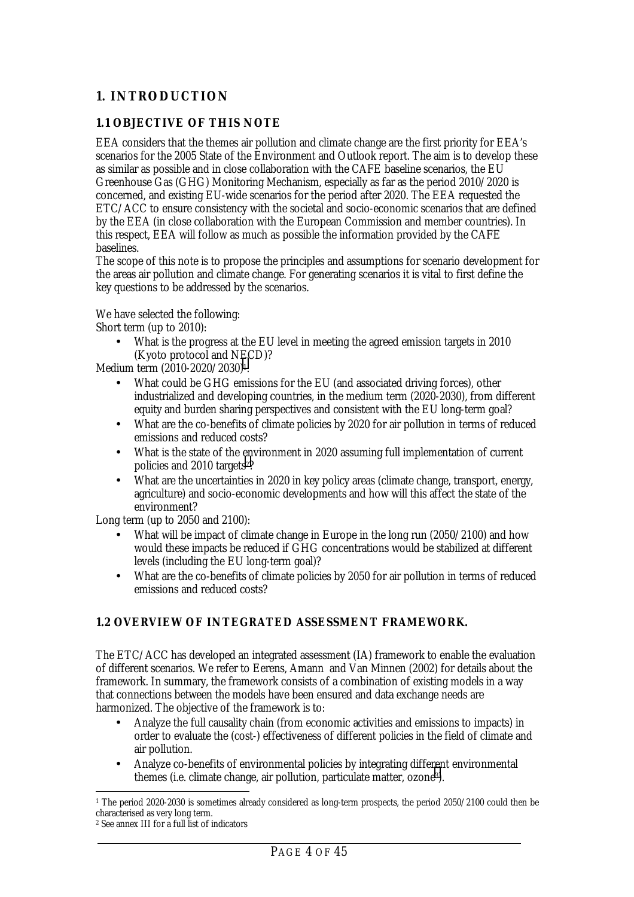# <span id="page-3-0"></span>**1. INTRODUCTION**

### **1.1 OBJECTIVE OF THIS NOTE**

EEA considers that the themes air pollution and climate change are the first priority for EEA's scenarios for the 2005 State of the Environment and Outlook report. The aim is to develop these as similar as possible and in close collaboration with the CAFE baseline scenarios, the EU Greenhouse Gas (GHG) Monitoring Mechanism, especially as far as the period 2010/2020 is concerned, and existing EU-wide scenarios for the period after 2020. The EEA requested the ETC/ACC to ensure consistency with the societal and socio-economic scenarios that are defined by the EEA (in close collaboration with the European Commission and member countries). In this respect, EEA will follow as much as possible the information provided by the CAFE baselines.

The scope of this note is to propose the principles and assumptions for scenario development for the areas air pollution and climate change. For generating scenarios it is vital to first define the key questions to be addressed by the scenarios.

We have selected the following:

Short term (up to 2010):

• What is the progress at the EU level in meeting the agreed emission targets in 2010 (Kyoto protocol and NECD)?

Medium term (2010-2020/2030)1:

- What could be GHG emissions for the EU (and associated driving forces), other industrialized and developing countries, in the medium term (2020-2030), from different equity and burden sharing perspectives and consistent with the EU long-term goal?
- What are the co-benefits of climate policies by 2020 for air pollution in terms of reduced emissions and reduced costs?
- What is the state of the environment in 2020 assuming full implementation of current policies and 2010 targets2?
- What are the uncertainties in 2020 in key policy areas (climate change, transport, energy, agriculture) and socio-economic developments and how will this affect the state of the environment?

Long term (up to 2050 and 2100):

- What will be impact of climate change in Europe in the long run (2050/2100) and how would these impacts be reduced if GHG concentrations would be stabilized at different levels (including the EU long-term goal)?
- What are the co-benefits of climate policies by 2050 for air pollution in terms of reduced emissions and reduced costs?

### **1.2 OVERVIEW OF INTEGRATED ASSESSMENT FRAMEWORK.**

The ETC/ACC has developed an integrated assessment (IA) framework to enable the evaluation of different scenarios. We refer to Eerens, Amann and Van Minnen (2002) for details about the framework. In summary, the framework consists of a combination of existing models in a way that connections between the models have been ensured and data exchange needs are harmonized. The objective of the framework is to:

- Analyze the full causality chain (from economic activities and emissions to impacts) in order to evaluate the (cost-) effectiveness of different policies in the field of climate and air pollution.
- Analyze co-benefits of environmental policies by integrating different environmental themes (i.e. climate change, air pollution, particulate matter, ozone3).

 $\overline{a}$ 1 The period 2020-2030 is sometimes already considered as long-term prospects, the period 2050/2100 could then be characterised as very long term.

<sup>2</sup> See annex III for a full list of indicators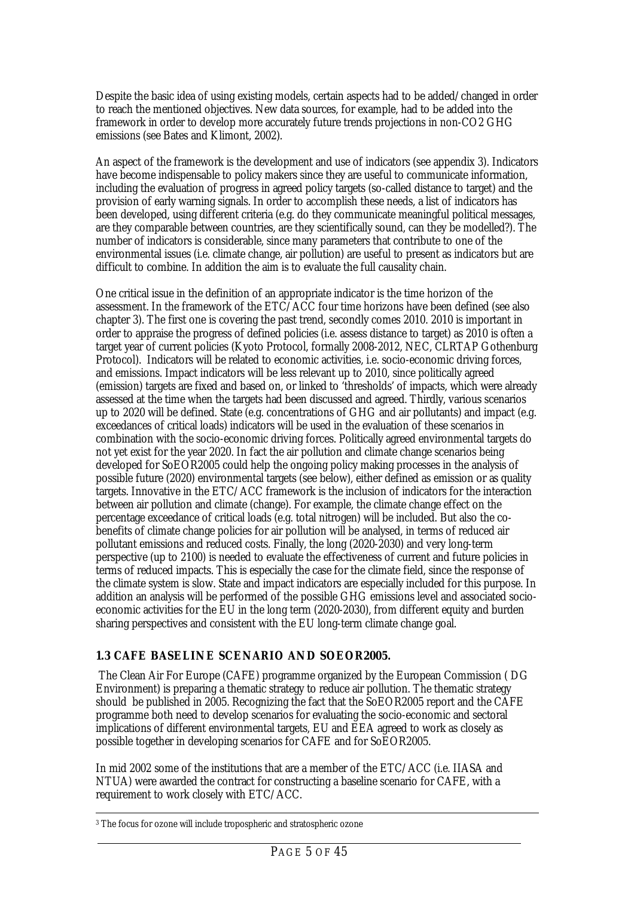<span id="page-4-0"></span>Despite the basic idea of using existing models, certain aspects had to be added/changed in order to reach the mentioned objectives. New data sources, for example, had to be added into the framework in order to develop more accurately future trends projections in non-CO2 GHG emissions (see Bates and Klimont, 2002).

An aspect of the framework is the development and use of indicators (see appendix 3). Indicators have become indispensable to policy makers since they are useful to communicate information, including the evaluation of progress in agreed policy targets (so-called distance to target) and the provision of early warning signals. In order to accomplish these needs, a list of indicators has been developed, using different criteria (e.g. do they communicate meaningful political messages, are they comparable between countries, are they scientifically sound, can they be modelled?). The number of indicators is considerable, since many parameters that contribute to one of the environmental issues (i.e. climate change, air pollution) are useful to present as indicators but are difficult to combine. In addition the aim is to evaluate the full causality chain.

One critical issue in the definition of an appropriate indicator is the time horizon of the assessment. In the framework of the  $ETC/ACC$  four time horizons have been defined (see also chapter 3). The first one is covering the past trend, secondly comes 2010. 2010 is important in order to appraise the progress of defined policies (i.e. assess distance to target) as 2010 is often a target year of current policies (Kyoto Protocol, formally 2008-2012, NEC, CLRTAP Gothenburg Protocol). Indicators will be related to economic activities, i.e. socio-economic driving forces, and emissions. Impact indicators will be less relevant up to 2010, since politically agreed (emission) targets are fixed and based on, or linked to 'thresholds' of impacts, which were already assessed at the time when the targets had been discussed and agreed. Thirdly, various scenarios up to 2020 will be defined. State (e.g. concentrations of GHG and air pollutants) and impact (e.g. exceedances of critical loads) indicators will be used in the evaluation of these scenarios in combination with the socio-economic driving forces. Politically agreed environmental targets do not yet exist for the year 2020. In fact the air pollution and climate change scenarios being developed for SoEOR2005 could help the ongoing policy making processes in the analysis of possible future (2020) environmental targets (see below), either defined as emission or as quality targets. Innovative in the ETC/ACC framework is the inclusion of indicators for the interaction between air pollution and climate (change). For example, the climate change effect on the percentage exceedance of critical loads (e.g. total nitrogen) will be included. But also the cobenefits of climate change policies for air pollution will be analysed, in terms of reduced air pollutant emissions and reduced costs. Finally, the long (2020-2030) and very long-term perspective (up to 2100) is needed to evaluate the effectiveness of current and future policies in terms of reduced impacts. This is especially the case for the climate field, since the response of the climate system is slow. State and impact indicators are especially included for this purpose. In addition an analysis will be performed of the possible GHG emissions level and associated socioeconomic activities for the EU in the long term (2020-2030), from different equity and burden sharing perspectives and consistent with the EU long-term climate change goal.

### **1.3 CAFE BASELINE SCENARIO AND SOEOR2005.**

 The Clean Air For Europe (CAFE) programme organized by the European Commission ( DG Environment) is preparing a thematic strategy to reduce air pollution. The thematic strategy should be published in 2005. Recognizing the fact that the SoEOR2005 report and the CAFE programme both need to develop scenarios for evaluating the socio-economic and sectoral implications of different environmental targets, EU and EEA agreed to work as closely as possible together in developing scenarios for CAFE and for SoEOR2005.

In mid 2002 some of the institutions that are a member of the ETC/ACC (i.e. IIASA and NTUA) were awarded the contract for constructing a baseline scenario for CAFE, with a requirement to work closely with ETC/ACC.

<sup>&</sup>lt;sup>3</sup> The focus for ozone will include tropospheric and stratospheric ozone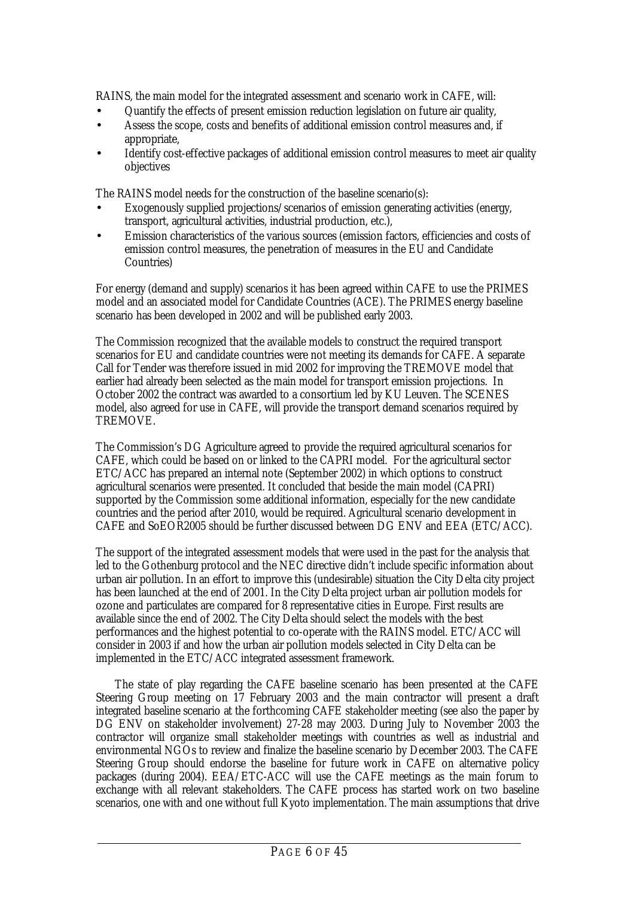RAINS, the main model for the integrated assessment and scenario work in CAFE, will:

- Quantify the effects of present emission reduction legislation on future air quality,
- Assess the scope, costs and benefits of additional emission control measures and, if appropriate,
- Identify cost-effective packages of additional emission control measures to meet air quality objectives

The RAINS model needs for the construction of the baseline scenario(s):

- Exogenously supplied projections/scenarios of emission generating activities (energy, transport, agricultural activities, industrial production, etc.),
- Emission characteristics of the various sources (emission factors, efficiencies and costs of emission control measures, the penetration of measures in the EU and Candidate Countries)

For energy (demand and supply) scenarios it has been agreed within CAFE to use the PRIMES model and an associated model for Candidate Countries (ACE). The PRIMES energy baseline scenario has been developed in 2002 and will be published early 2003.

The Commission recognized that the available models to construct the required transport scenarios for EU and candidate countries were not meeting its demands for CAFE. A separate Call for Tender was therefore issued in mid 2002 for improving the TREMOVE model that earlier had already been selected as the main model for transport emission projections. In October 2002 the contract was awarded to a consortium led by KU Leuven. The SCENES model, also agreed for use in CAFE, will provide the transport demand scenarios required by TREMOVE.

The Commission's DG Agriculture agreed to provide the required agricultural scenarios for CAFE, which could be based on or linked to the CAPRI model. For the agricultural sector ETC/ACC has prepared an internal note (September 2002) in which options to construct agricultural scenarios were presented. It concluded that beside the main model (CAPRI) supported by the Commission some additional information, especially for the new candidate countries and the period after 2010, would be required. Agricultural scenario development in CAFE and SoEOR2005 should be further discussed between DG ENV and EEA (ETC/ACC).

The support of the integrated assessment models that were used in the past for the analysis that led to the Gothenburg protocol and the NEC directive didn't include specific information about urban air pollution. In an effort to improve this (undesirable) situation the City Delta city project has been launched at the end of 2001. In the City Delta project urban air pollution models for ozone and particulates are compared for 8 representative cities in Europe. First results are available since the end of 2002. The City Delta should select the models with the best performances and the highest potential to co-operate with the RAINS model. ETC/ACC will consider in 2003 if and how the urban air pollution models selected in City Delta can be implemented in the ETC/ACC integrated assessment framework.

The state of play regarding the CAFE baseline scenario has been presented at the CAFE Steering Group meeting on 17 February 2003 and the main contractor will present a draft integrated baseline scenario at the forthcoming CAFE stakeholder meeting (see also the paper by DG ENV on stakeholder involvement) 27-28 may 2003. During July to November 2003 the contractor will organize small stakeholder meetings with countries as well as industrial and environmental NGOs to review and finalize the baseline scenario by December 2003. The CAFE Steering Group should endorse the baseline for future work in CAFE on alternative policy packages (during 2004). EEA/ETC-ACC will use the CAFE meetings as the main forum to exchange with all relevant stakeholders. The CAFE process has started work on two baseline scenarios, one with and one without full Kyoto implementation. The main assumptions that drive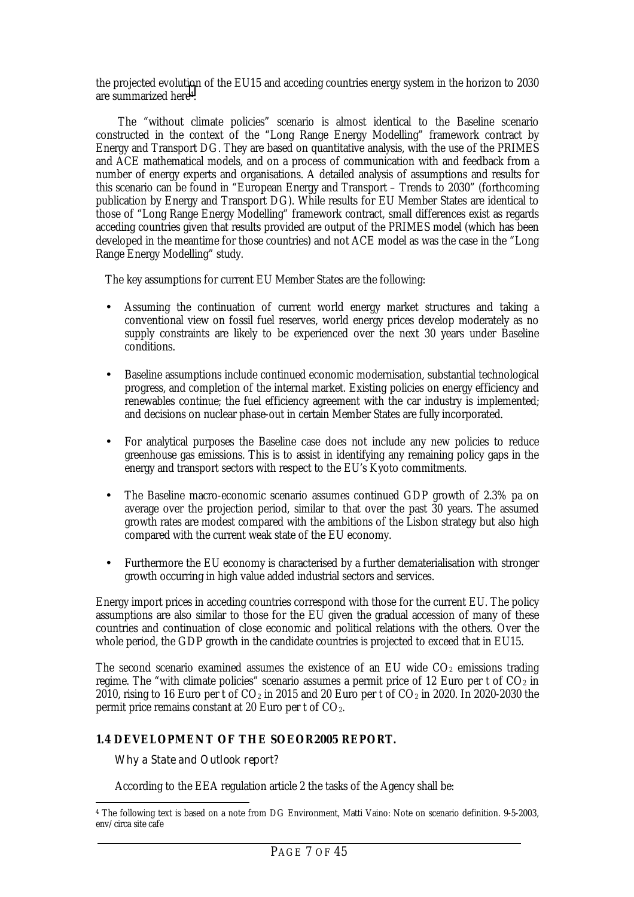<span id="page-6-0"></span>the projected evolution of the EU15 and acceding countries energy system in the horizon to 2030 are summarized here4.

 The "without climate policies" scenario is almost identical to the Baseline scenario constructed in the context of the "Long Range Energy Modelling" framework contract by Energy and Transport DG. They are based on quantitative analysis, with the use of the PRIMES and ACE mathematical models, and on a process of communication with and feedback from a number of energy experts and organisations. A detailed analysis of assumptions and results for this scenario can be found in "European Energy and Transport – Trends to 2030" (forthcoming publication by Energy and Transport DG). While results for EU Member States are identical to those of "Long Range Energy Modelling" framework contract, small differences exist as regards acceding countries given that results provided are output of the PRIMES model (which has been developed in the meantime for those countries) and not ACE model as was the case in the "Long Range Energy Modelling" study.

The key assumptions for current EU Member States are the following:

- Assuming the continuation of current world energy market structures and taking a conventional view on fossil fuel reserves, world energy prices develop moderately as no supply constraints are likely to be experienced over the next  $30$  years under Baseline conditions.
- Baseline assumptions include continued economic modernisation, substantial technological progress, and completion of the internal market. Existing policies on energy efficiency and renewables continue; the fuel efficiency agreement with the car industry is implemented; and decisions on nuclear phase-out in certain Member States are fully incorporated.
- For analytical purposes the Baseline case does not include any new policies to reduce greenhouse gas emissions. This is to assist in identifying any remaining policy gaps in the energy and transport sectors with respect to the EU's Kyoto commitments.
- The Baseline macro-economic scenario assumes continued GDP growth of 2.3% pa on average over the projection period, similar to that over the past 30 years. The assumed growth rates are modest compared with the ambitions of the Lisbon strategy but also high compared with the current weak state of the EU economy.
- Furthermore the EU economy is characterised by a further dematerialisation with stronger growth occurring in high value added industrial sectors and services.

Energy import prices in acceding countries correspond with those for the current EU. The policy assumptions are also similar to those for the EU given the gradual accession of many of these countries and continuation of close economic and political relations with the others. Over the whole period, the GDP growth in the candidate countries is projected to exceed that in EU15.

The second scenario examined assumes the existence of an EU wide  $CO<sub>2</sub>$  emissions trading regime. The "with climate policies" scenario assumes a permit price of 12 Euro per t of  $CO<sub>2</sub>$  in 2010, rising to 16 Euro per t of  $CO<sub>2</sub>$  in 2015 and 20 Euro per t of  $CO<sub>2</sub>$  in 2020. In 2020-2030 the permit price remains constant at 20 Euro per t of  $CO<sub>2</sub>$ .

#### **1.4 DEVELOPMENT OF THE SOEOR2005 REPORT.**

#### *Why a State and Outlook report?*

According to the EEA regulation article 2 the tasks of the Agency shall be:

 $\ddot{\phantom{a}}$ 4 The following text is based on a note from DG Environment, Matti Vaino: Note on scenario definition. 9-5-2003, env/circa site cafe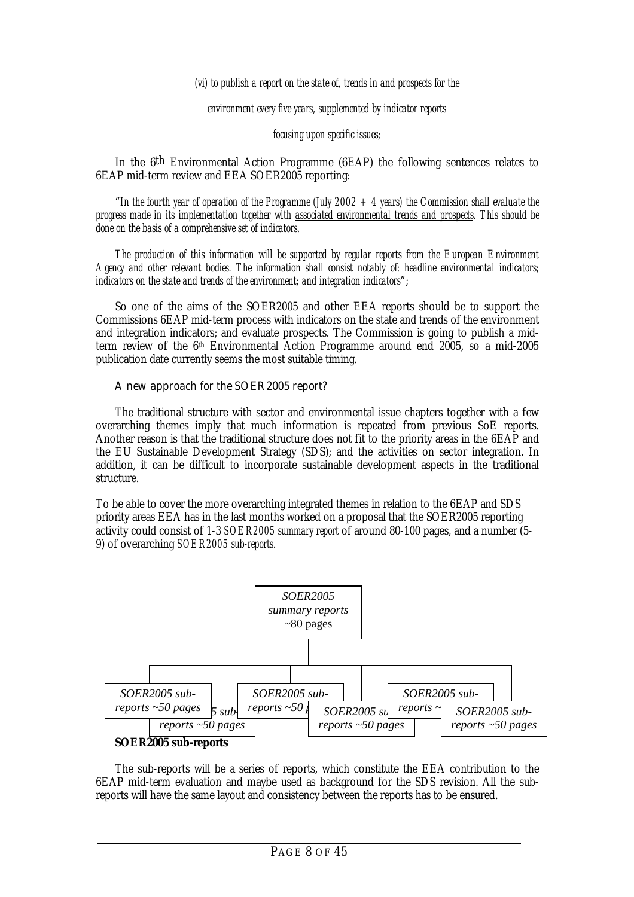*(vi) to publish a report on the state of, trends in and prospects for the*

*environment every five years, supplemented by indicator reports*

*focusing upon specific issues;*

In the 6th Environmental Action Programme (6EAP) the following sentences relates to 6EAP mid-term review and EEA SOER2005 reporting:

"*In the fourth year of operation of the Programme (July 2002 + 4 years) the Commission shall evaluate the progress made in its implementation together with associated environmental trends and prospects. This should be done on the basis of a comprehensive set of indicators.*

*The production of this information will be supported by regular reports from the European Environment Agency and other relevant bodies. The information shall consist notably of: headline environmental indicators; indicators on the state and trends of the environment; and integration indicators*";

So one of the aims of the SOER2005 and other EEA reports should be to support the Commissions 6EAP mid-term process with indicators on the state and trends of the environment and integration indicators; and evaluate prospects. The Commission is going to publish a midterm review of the 6th Environmental Action Programme around end 2005, so a mid-2005 publication date currently seems the most suitable timing.

#### *A new approach for the SOER2005 report?*

The traditional structure with sector and environmental issue chapters together with a few overarching themes imply that much information is repeated from previous SoE reports. Another reason is that the traditional structure does not fit to the priority areas in the 6EAP and the EU Sustainable Development Strategy (SDS); and the activities on sector integration. In addition, it can be difficult to incorporate sustainable development aspects in the traditional structure.

To be able to cover the more overarching integrated themes in relation to the 6EAP and SDS priority areas EEA has in the last months worked on a proposal that the SOER2005 reporting activity could consist of 1-3 *SOER2005 summary report* of around 80-100 pages, and a number (5- 9) of overarching *SOER2005 sub-reports*.



The sub-reports will be a series of reports, which constitute the EEA contribution to the 6EAP mid-term evaluation and maybe used as background for the SDS revision. All the subreports will have the same layout and consistency between the reports has to be ensured.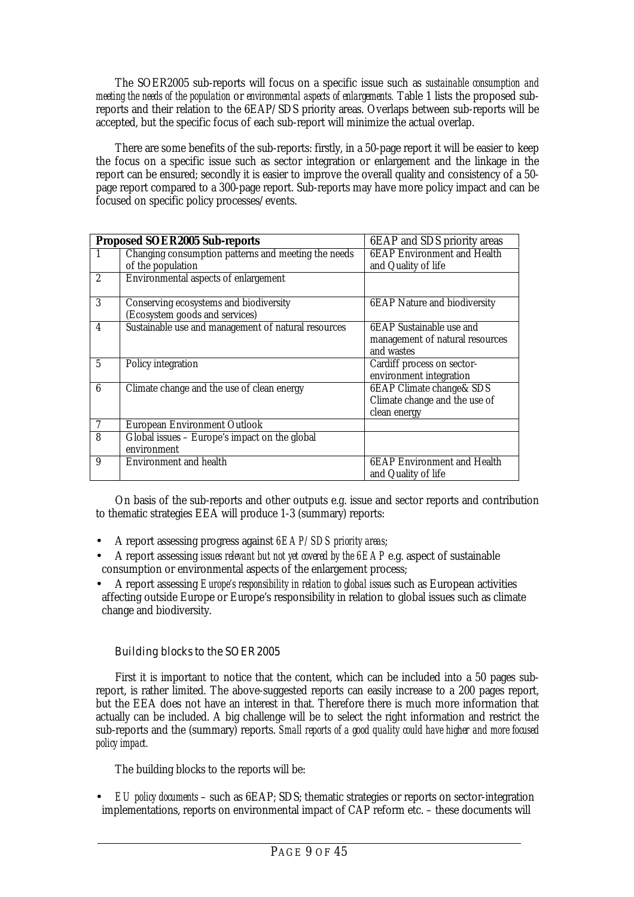The SOER2005 sub-reports will focus on a specific issue such as *sustainable consumption and meeting the needs of the population* or *environmental aspects of enlargements.* Table 1 lists the proposed subreports and their relation to the 6EAP/SDS priority areas. Overlaps between sub-reports will be accepted, but the specific focus of each sub-report will minimize the actual overlap.

There are some benefits of the sub-reports: firstly, in a 50-page report it will be easier to keep the focus on a specific issue such as sector integration or enlargement and the linkage in the report can be ensured; secondly it is easier to improve the overall quality and consistency of a 50 page report compared to a 300-page report. Sub-reports may have more policy impact and can be focused on specific policy processes/events.

|                          | <b>Proposed SOER2005 Sub-reports</b>                                     | 6EAP and SDS priority areas                                                           |
|--------------------------|--------------------------------------------------------------------------|---------------------------------------------------------------------------------------|
|                          | Changing consumption patterns and meeting the needs<br>of the population | <b>6EAP</b> Environment and Health<br>and Quality of life                             |
| $\overline{2}$           | Environmental aspects of enlargement                                     |                                                                                       |
| 3                        | Conserving ecosystems and biodiversity<br>(Ecosystem goods and services) | <b>6EAP</b> Nature and biodiversity                                                   |
| $\overline{\mathbf{4}}$  | Sustainable use and management of natural resources                      | 6EAP Sustainable use and<br>management of natural resources<br>and wastes             |
| $\mathbf{5}$             | Policy integration                                                       | Cardiff process on sector-<br>environment integration                                 |
| 6                        | Climate change and the use of clean energy                               | <b>6EAP Climate change &amp; SDS</b><br>Climate change and the use of<br>clean energy |
| $\overline{\mathcal{U}}$ | <b>European Environment Outlook</b>                                      |                                                                                       |
| 8                        | Global issues - Europe's impact on the global<br>environment             |                                                                                       |
| 9                        | <b>Environment and health</b>                                            | <b>6EAP Environment and Health</b><br>and Quality of life                             |

On basis of the sub-reports and other outputs e.g. issue and sector reports and contribution to thematic strategies EEA will produce 1-3 (summary) reports:

- A report assessing progress against *6EAP/SDS priority areas*;
- A report assessing *issues relevant but not yet covered by the 6EAP* e.g. aspect of sustainable consumption or environmental aspects of the enlargement process;
- A report assessing *Europe's responsibility in relation to global issues* such as European activities affecting outside Europe or Europe's responsibility in relation to global issues such as climate change and biodiversity.

#### *Building blocks to the SOER2005*

First it is important to notice that the content, which can be included into a 50 pages subreport, is rather limited. The above-suggested reports can easily increase to a 200 pages report, but the EEA does not have an interest in that. Therefore there is much more information that actually can be included. A big challenge will be to select the right information and restrict the sub-reports and the (summary) reports. *Small reports of a good quality could have higher and more focused policy impact.*

The building blocks to the reports will be:

• *EU policy documents* – such as 6EAP; SDS; thematic strategies or reports on sector-integration implementations, reports on environmental impact of CAP reform etc. – these documents will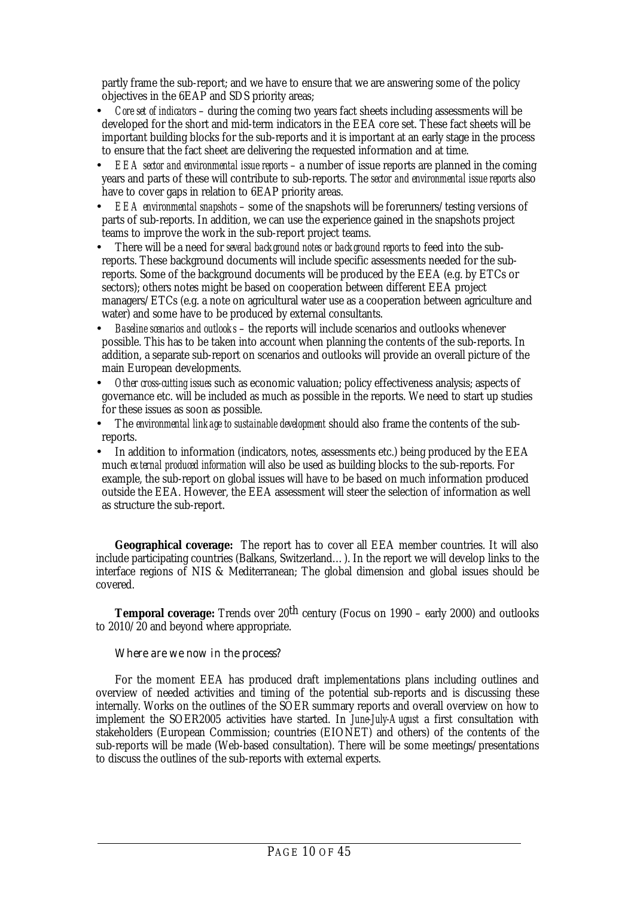partly frame the sub-report; and we have to ensure that we are answering some of the policy objectives in the 6EAP and SDS priority areas;

- *Core set of indicators* during the coming two years fact sheets including assessments will be developed for the short and mid-term indicators in the EEA core set. These fact sheets will be important building blocks for the sub-reports and it is important at an early stage in the process to ensure that the fact sheet are delivering the requested information and at time.
- *EEA sector and environmental issue reports* a number of issue reports are planned in the coming years and parts of these will contribute to sub-reports. The *sector and environmental issue reports* also have to cover gaps in relation to 6EAP priority areas.
- *EEA environmental snapshots* some of the snapshots will be forerunners/testing versions of parts of sub-reports. In addition, we can use the experience gained in the snapshots project teams to improve the work in the sub-report project teams.
- There will be a need for *several background notes or background reports* to feed into the subreports. These background documents will include specific assessments needed for the subreports. Some of the background documents will be produced by the EEA (e.g. by ETCs or sectors); others notes might be based on cooperation between different EEA project managers/ETCs (e.g. a note on agricultural water use as a cooperation between agriculture and water) and some have to be produced by external consultants.
- *Baseline scenarios and outlooks* the reports will include scenarios and outlooks whenever possible. This has to be taken into account when planning the contents of the sub-reports. In addition, a separate sub-report on scenarios and outlooks will provide an overall picture of the main European developments.
- *Other cross-cutting issues* such as economic valuation; policy effectiveness analysis; aspects of governance etc. will be included as much as possible in the reports. We need to start up studies for these issues as soon as possible.
- The *environmental linkage to sustainable development* should also frame the contents of the subreports.
- In addition to information (indicators, notes, assessments etc.) being produced by the EEA much *external produced information* will also be used as building blocks to the sub-reports. For example, the sub-report on global issues will have to be based on much information produced outside the EEA. However, the EEA assessment will steer the selection of information as well as structure the sub-report.

**Geographical coverage:** The report has to cover all EEA member countries. It will also include participating countries (Balkans, Switzerland…). In the report we will develop links to the interface regions of NIS & Mediterranean; The global dimension and global issues should be covered.

**Temporal coverage:** Trends over 20<sup>th</sup> century (Focus on 1990 – early 2000) and outlooks to 2010/20 and beyond where appropriate.

#### *Where are we now in the process?*

For the moment EEA has produced draft implementations plans including outlines and overview of needed activities and timing of the potential sub-reports and is discussing these internally. Works on the outlines of the SOER summary reports and overall overview on how to implement the SOER2005 activities have started. In *June-July-August* a first consultation with stakeholders (European Commission; countries (EIONET) and others) of the contents of the sub-reports will be made (Web-based consultation). There will be some meetings/presentations to discuss the outlines of the sub-reports with external experts.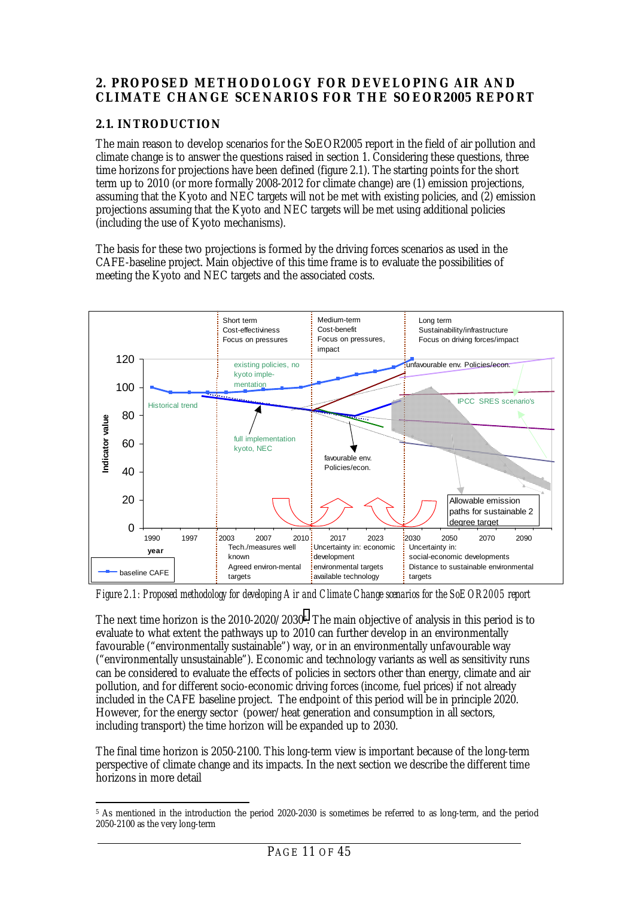# <span id="page-10-0"></span>**2. PROPOSED METHODOLOGY FOR DEVELOPING AIR AND CLIMATE CHANGE SCENARIOS FOR THE SOEOR2005 REPORT**

### **2.1. INTRODUCTION**

The main reason to develop scenarios for the SoEOR2005 report in the field of air pollution and climate change is to answer the questions raised in section 1. Considering these questions, three time horizons for projections have been defined (figure 2.1). The starting points for the short term up to 2010 (or more formally 2008-2012 for climate change) are (1) emission projections, assuming that the Kyoto and NEC targets will not be met with existing policies, and (2) emission projections assuming that the Kyoto and NEC targets will be met using additional policies (including the use of Kyoto mechanisms).

The basis for these two projections is formed by the driving forces scenarios as used in the CAFE-baseline project. Main objective of this time frame is to evaluate the possibilities of meeting the Kyoto and NEC targets and the associated costs.



*Figure 2.1: Proposed methodology for developing Air and Climate Change scenarios for the SoEOR2005 report*

The next time horizon is the 2010-2020/20305. The main objective of analysis in this period is to evaluate to what extent the pathways up to 2010 can further develop in an environmentally favourable ("environmentally sustainable") way, or in an environmentally unfavourable way ("environmentally unsustainable"). Economic and technology variants as well as sensitivity runs can be considered to evaluate the effects of policies in sectors other than energy, climate and air pollution, and for different socio-economic driving forces (income, fuel prices) if not already included in the CAFE baseline project. The endpoint of this period will be in principle 2020. However, for the energy sector (power/heat generation and consumption in all sectors, including transport) the time horizon will be expanded up to 2030.

The final time horizon is 2050-2100. This long-term view is important because of the long-term perspective of climate change and its impacts. In the next section we describe the different time horizons in more detail

 $\ddot{\phantom{a}}$ 5 As mentioned in the introduction the period 2020-2030 is sometimes be referred to as long-term, and the period 2050-2100 as the very long-term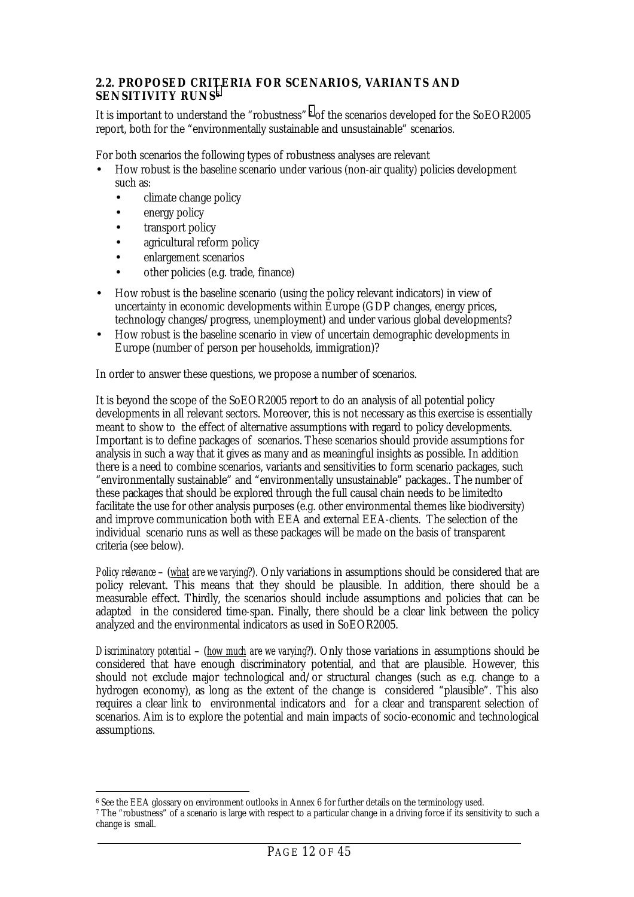#### <span id="page-11-0"></span>**2.2. PROPOSED CRITERIA FOR SCENARIOS, VARIANTS AND SENSITIVITY RUNS6**

It is important to understand the "robustness" 7 of the scenarios developed for the SoEOR2005 report, both for the "environmentally sustainable and unsustainable" scenarios.

For both scenarios the following types of robustness analyses are relevant

- How robust is the baseline scenario under various (non-air quality) policies development such as:
	- climate change policy
	- energy policy
	- transport policy
	- agricultural reform policy
	- enlargement scenarios
	- other policies (e.g. trade, finance)
- How robust is the baseline scenario (using the policy relevant indicators) in view of uncertainty in economic developments within Europe (GDP changes, energy prices, technology changes/progress, unemployment) and under various global developments?
- How robust is the baseline scenario in view of uncertain demographic developments in Europe (number of person per households, immigration)?

In order to answer these questions, we propose a number of scenarios.

It is beyond the scope of the SoEOR2005 report to do an analysis of all potential policy developments in all relevant sectors. Moreover, this is not necessary as this exercise is essentially meant to show to the effect of alternative assumptions with regard to policy developments. Important is to define packages of scenarios. These scenarios should provide assumptions for analysis in such a way that it gives as many and as meaningful insights as possible. In addition there is a need to combine scenarios, variants and sensitivities to form scenario packages, such "environmentally sustainable" and "environmentally unsustainable" packages.. The number of these packages that should be explored through the full causal chain needs to be limitedto facilitate the use for other analysis purposes (e.g. other environmental themes like biodiversity) and improve communication both with EEA and external EEA-clients. The selection of the individual scenario runs as well as these packages will be made on the basis of transparent criteria (see below).

*Policy relevance* – (*what are we varying*?). Only variations in assumptions should be considered that are policy relevant. This means that they should be plausible. In addition, there should be a measurable effect. Thirdly, the scenarios should include assumptions and policies that can be adapted in the considered time-span. Finally, there should be a clear link between the policy analyzed and the environmental indicators as used in SoEOR2005.

*Discriminatory potential* – (*how much are we varying*?). Only those variations in assumptions should be considered that have enough discriminatory potential, and that are plausible. However, this should not exclude major technological and/or structural changes (such as e.g. change to a hydrogen economy), as long as the extent of the change is considered "plausible". This also requires a clear link to environmental indicators and for a clear and transparent selection of scenarios. Aim is to explore the potential and main impacts of socio-economic and technological assumptions.

 $\overline{a}$ 6 See the EEA glossary on environment outlooks in Annex 6 for further details on the terminology used.

<sup>7</sup> The "robustness" of a scenario is large with respect to a particular change in a driving force if its sensitivity to such a change is small.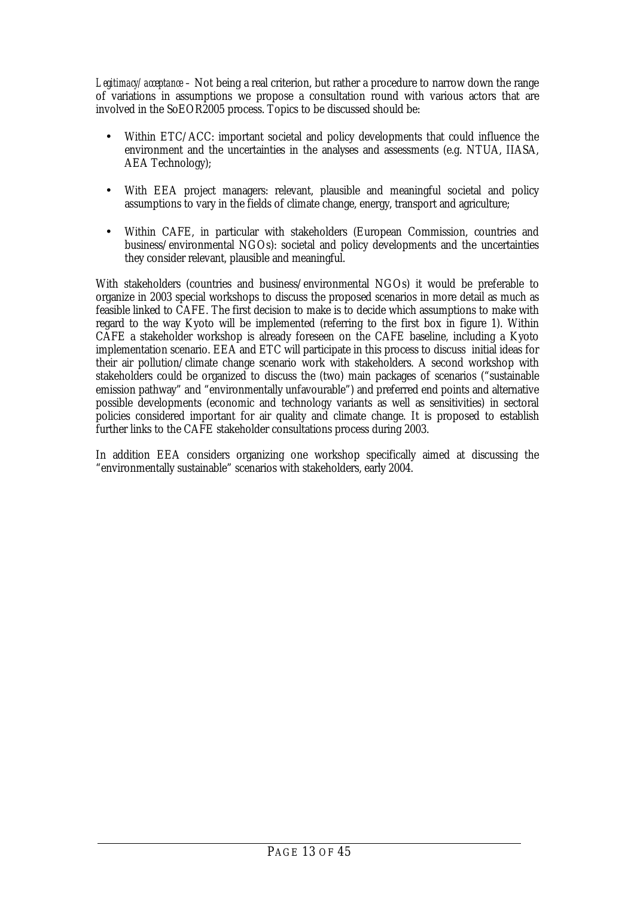*Legitimacy/acceptance –* Not being a real criterion, but rather a procedure to narrow down the range of variations in assumptions we propose a consultation round with various actors that are involved in the SoEOR2005 process. Topics to be discussed should be:

- Within ETC/ACC: important societal and policy developments that could influence the environment and the uncertainties in the analyses and assessments (e.g. NTUA, IIASA, AEA Technology);
- With EEA project managers: relevant, plausible and meaningful societal and policy assumptions to vary in the fields of climate change, energy, transport and agriculture;
- Within CAFE, in particular with stakeholders (European Commission, countries and business/environmental NGOs): societal and policy developments and the uncertainties they consider relevant, plausible and meaningful.

With stakeholders (countries and business/environmental NGOs) it would be preferable to organize in 2003 special workshops to discuss the proposed scenarios in more detail as much as feasible linked to CAFE. The first decision to make is to decide which assumptions to make with regard to the way Kyoto will be implemented (referring to the first box in figure 1). Within CAFE a stakeholder workshop is already foreseen on the CAFE baseline, including a Kyoto implementation scenario. EEA and ETC will participate in this process to discuss initial ideas for their air pollution/climate change scenario work with stakeholders. A second workshop with stakeholders could be organized to discuss the (two) main packages of scenarios ("sustainable emission pathway" and "environmentally unfavourable") and preferred end points and alternative possible developments (economic and technology variants as well as sensitivities) in sectoral policies considered important for air quality and climate change. It is proposed to establish further links to the CAFE stakeholder consultations process during 2003.

In addition EEA considers organizing one workshop specifically aimed at discussing the "environmentally sustainable" scenarios with stakeholders, early 2004.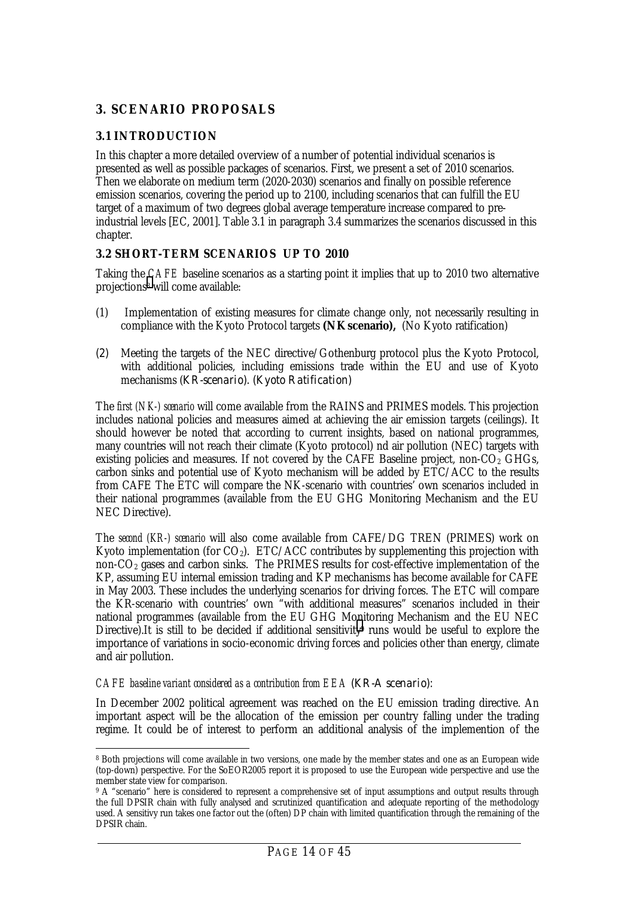# <span id="page-13-0"></span>**3. SCENARIO PROPOSALS**

### **3.1 INTRODUCTION**

In this chapter a more detailed overview of a number of potential individual scenarios is presented as well as possible packages of scenarios. First, we present a set of 2010 scenarios. Then we elaborate on medium term (2020-2030) scenarios and finally on possible reference emission scenarios, covering the period up to 2100, including scenarios that can fulfill the EU target of a maximum of two degrees global average temperature increase compared to preindustrial levels [EC, 2001]. Table 3.1 in paragraph 3.4 summarizes the scenarios discussed in this chapter.

#### **3.2 SHORT-TERM SCENARIOS UP TO 2010**

Taking the *CAFE* baseline scenarios as a starting point it implies that up to 2010 two alternative projections8 will come available:

- (1) Implementation of existing measures for climate change only, not necessarily resulting in compliance with the Kyoto Protocol targets **(NK scenario),** (No Kyoto ratification)
- *(2)* Meeting the targets of the NEC directive/Gothenburg protocol plus the Kyoto Protocol, with additional policies, including emissions trade within the EU and use of Kyoto mechanisms (*KR-scenario). (Kyoto Ratification)*

The *first (NK-) scenario* will come available from the RAINS and PRIMES models. This projection includes national policies and measures aimed at achieving the air emission targets (ceilings). It should however be noted that according to current insights, based on national programmes, many countries will not reach their climate (Kyoto protocol) nd air pollution (NEC) targets with existing policies and measures. If not covered by the CAFE Baseline project, non- $CO<sub>2</sub>$  GHGs, carbon sinks and potential use of Kyoto mechanism will be added by ETC/ACC to the results from CAFE The ETC will compare the NK-scenario with countries' own scenarios included in their national programmes (available from the EU GHG Monitoring Mechanism and the EU NEC Directive).

The *second (KR-) scenario* will also come available from CAFE/DG TREN (PRIMES) work on Kyoto implementation (for  $CO<sub>2</sub>$ ). ETC/ACC contributes by supplementing this projection with non-CO2 gases and carbon sinks. The PRIMES results for cost-effective implementation of the KP, assuming EU internal emission trading and KP mechanisms has become available for CAFE in May 2003. These includes the underlying scenarios for driving forces. The ETC will compare the KR-scenario with countries' own "with additional measures" scenarios included in their national programmes (available from the EU GHG Monitoring Mechanism and the EU NEC Directive).It is still to be decided if additional sensitivity<sup>9</sup> runs would be useful to explore the importance of variations in socio-economic driving forces and policies other than energy, climate and air pollution.

#### *CAFE baseline variant considered as a contribution from EEA (KR-A scenario):*

In December 2002 political agreement was reached on the EU emission trading directive. An important aspect will be the allocation of the emission per country falling under the trading regime. It could be of interest to perform an additional analysis of the implemention of the

 $\ddot{\phantom{a}}$ 8 Both projections will come available in two versions, one made by the member states and one as an European wide (top-down) perspective. For the SoEOR2005 report it is proposed to use the European wide perspective and use the member state view for comparison.

<sup>&</sup>lt;sup>9</sup> A "scenario" here is considered to represent a comprehensive set of input assumptions and output results through the full DPSIR chain with fully analysed and scrutinized quantification and adequate reporting of the methodology used. A sensitivy run takes one factor out the (often) DP chain with limited quantification through the remaining of the DPSIR chain.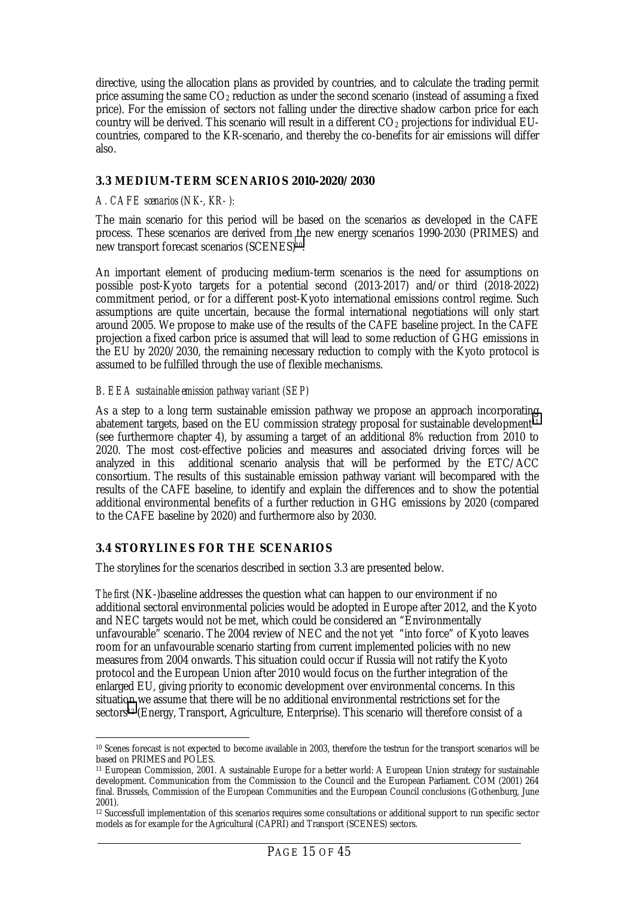<span id="page-14-0"></span>directive, using the allocation plans as provided by countries, and to calculate the trading permit price assuming the same  $CO<sub>2</sub>$  reduction as under the second scenario (instead of assuming a fixed price). For the emission of sectors not falling under the directive shadow carbon price for each country will be derived. This scenario will result in a different  $CO<sub>2</sub>$  projections for individual  $EU$ countries, compared to the KR-scenario, and thereby the co-benefits for air emissions will differ also.

#### **3.3 MEDIUM-TERM SCENARIOS 2010-2020/2030**

#### *A. CAFE scenarios (NK-, KR- ):*

The main scenario for this period will be based on the scenarios as developed in the CAFE process. These scenarios are derived from the new energy scenarios 1990-2030 (PRIMES) and new transport forecast scenarios (SCENES)10.

An important element of producing medium-term scenarios is the need for assumptions on possible post-Kyoto targets for a potential second (2013-2017) and/or third (2018-2022) commitment period, or for a different post-Kyoto international emissions control regime. Such assumptions are quite uncertain, because the formal international negotiations will only start around 2005. We propose to make use of the results of the CAFE baseline project. In the CAFE projection a fixed carbon price is assumed that will lead to some reduction of GHG emissions in the EU by 2020/2030, the remaining necessary reduction to comply with the Kyoto protocol is assumed to be fulfilled through the use of flexible mechanisms.

#### *B. EEA sustainable emission pathway variant (SEP)*

As a step to a long term sustainable emission pathway we propose an approach incorporating abatement targets, based on the EU commission strategy proposal for sustainable development<sup>11</sup> (see furthermore chapter 4), by assuming a target of an additional 8% reduction from 2010 to 2020. The most cost-effective policies and measures and associated driving forces will be analyzed in this additional scenario analysis that will be performed by the ETC/ACC consortium. The results of this sustainable emission pathway variant will becompared with the results of the CAFE baseline, to identify and explain the differences and to show the potential additional environmental benefits of a further reduction in GHG emissions by 2020 (compared to the CAFE baseline by 2020) and furthermore also by 2030.

#### **3.4 STORYLINES FOR THE SCENARIOS**

The storylines for the scenarios described in section 3.3 are presented below.

*The first* (NK-)baseline addresses the question what can happen to our environment if no additional sectoral environmental policies would be adopted in Europe after 2012, and the Kyoto and NEC targets would not be met, which could be considered an "Environmentally unfavourable" scenario. The 2004 review of NEC and the not yet "into force" of Kyoto leaves room for an unfavourable scenario starting from current implemented policies with no new measures from 2004 onwards. This situation could occur if Russia will not ratify the Kyoto protocol and the European Union after 2010 would focus on the further integration of the enlarged EU, giving priority to economic development over environmental concerns. In this situation we assume that there will be no additional environmental restrictions set for the sectors12 (Energy, Transport, Agriculture, Enterprise). This scenario will therefore consist of a

 $\ddot{\phantom{a}}$ 10 Scenes forecast is not expected to become available in 2003, therefore the testrun for the transport scenarios will be based on PRIMES and POLES.

<sup>11</sup> European Commission, 2001. A sustainable Europe for a better world: A European Union strategy for sustainable development. Communication from the Commission to the Council and the European Parliament. COM (2001) 264 final. Brussels, Commission of the European Communities and the European Council conclusions (Gothenburg, June 2001).

<sup>12</sup> Successfull implementation of this scenarios requires some consultations or additional support to run specific sector models as for example for the Agricultural (CAPRI) and Transport (SCENES) sectors.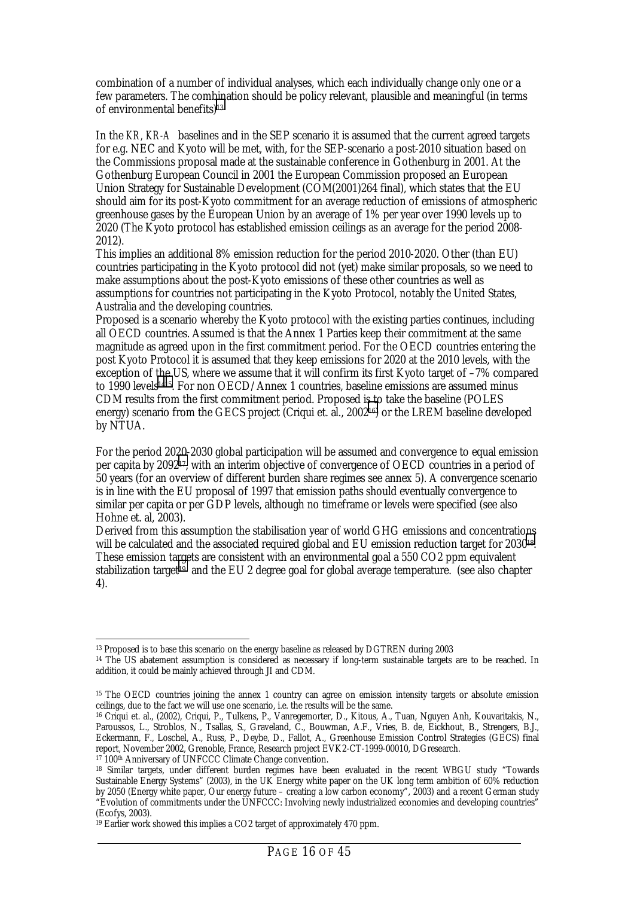combination of a number of individual analyses, which each individually change only one or a few parameters. The combination should be policy relevant, plausible and meaningful (in terms of environmental benefits)13

In the *KR, KR-A* baselines and in the SEP scenario it is assumed that the current agreed targets for e.g. NEC and Kyoto will be met, with, for the SEP-scenario a post-2010 situation based on the Commissions proposal made at the sustainable conference in Gothenburg in 2001. At the Gothenburg European Council in 2001 the European Commission proposed an European Union Strategy for Sustainable Development (COM(2001)264 final), which states that the EU should aim for its post-Kyoto commitment for an average reduction of emissions of atmospheric greenhouse gases by the European Union by an average of 1% per year over 1990 levels up to 2020 (The Kyoto protocol has established emission ceilings as an average for the period 2008- 2012).

This implies an additional 8% emission reduction for the period 2010-2020. Other (than EU) countries participating in the Kyoto protocol did not (yet) make similar proposals, so we need to make assumptions about the post-Kyoto emissions of these other countries as well as assumptions for countries not participating in the Kyoto Protocol, notably the United States, Australia and the developing countries.

Proposed is a scenario whereby the Kyoto protocol with the existing parties continues, including all OECD countries. Assumed is that the Annex 1 Parties keep their commitment at the same magnitude as agreed upon in the first commitment period. For the OECD countries entering the post Kyoto Protocol it is assumed that they keep emissions for 2020 at the 2010 levels, with the exception of the US, where we assume that it will confirm its first Kyoto target of –7% compared to 1990 levels1415. For non OECD/Annex 1 countries, baseline emissions are assumed minus CDM results from the first commitment period. Proposed is to take the baseline (POLES energy) scenario from the GECS project (Criqui et. al., 200216) or the LREM baseline developed by NTUA.

For the period 2020-2030 global participation will be assumed and convergence to equal emission per capita by 209217, with an interim objective of convergence of OECD countries in a period of 50 years (for an overview of different burden share regimes see annex 5). A convergence scenario is in line with the EU proposal of 1997 that emission paths should eventually convergence to similar per capita or per GDP levels, although no timeframe or levels were specified (see also Hohne et. al, 2003).

Derived from this assumption the stabilisation year of world GHG emissions and concentrations will be calculated and the associated required global and EU emission reduction target for 203018. These emission targets are consistent with an environmental goal a 550 CO2 ppm equivalent stabilization target<sup>19</sup> and the EU 2 degree goal for global average temperature. (see also chapter 4).

 $\ddot{\phantom{a}}$ 13 Proposed is to base this scenario on the energy baseline as released by DGTREN during 2003

<sup>14</sup> The US abatement assumption is considered as necessary if long-term sustainable targets are to be reached. In addition, it could be mainly achieved through JI and CDM.

<sup>&</sup>lt;sup>15</sup> The OECD countries joining the annex 1 country can agree on emission intensity targets or absolute emission ceilings, due to the fact we will use one scenario, i.e. the results will be the same.

<sup>16</sup> Criqui et. al., (2002), Criqui, P., Tulkens, P., Vanregemorter, D., Kitous, A., Tuan, Nguyen Anh, Kouvaritakis, N., Paroussos, L., Stroblos, N., Tsallas, S., Graveland, C., Bouwman, A.F., Vries, B. de, Eickhout, B., Strengers, B.J., Eckermann, F., Loschel, A., Russ, P., Deybe, D., Fallot, A., Greenhouse Emission Control Strategies (GECS) final report, November 2002, Grenoble, France, Research project EVK2-CT-1999-00010, DGresearch. 17 100th Anniversary of UNFCCC Climate Change convention.

<sup>18</sup> Similar targets, under different burden regimes have been evaluated in the recent WBGU study "Towards Sustainable Energy Systems" (2003), in the UK Energy white paper on the UK long term ambition of 60% reduction by 2050 (Energy white paper, Our energy future – creating a low carbon economy", 2003) and a recent German study "Evolution of commitments under the UNFCCC: Involving newly industrialized economies and developing countries" (Ecofys, 2003).

<sup>19</sup> Earlier work showed this implies a CO2 target of approximately 470 ppm.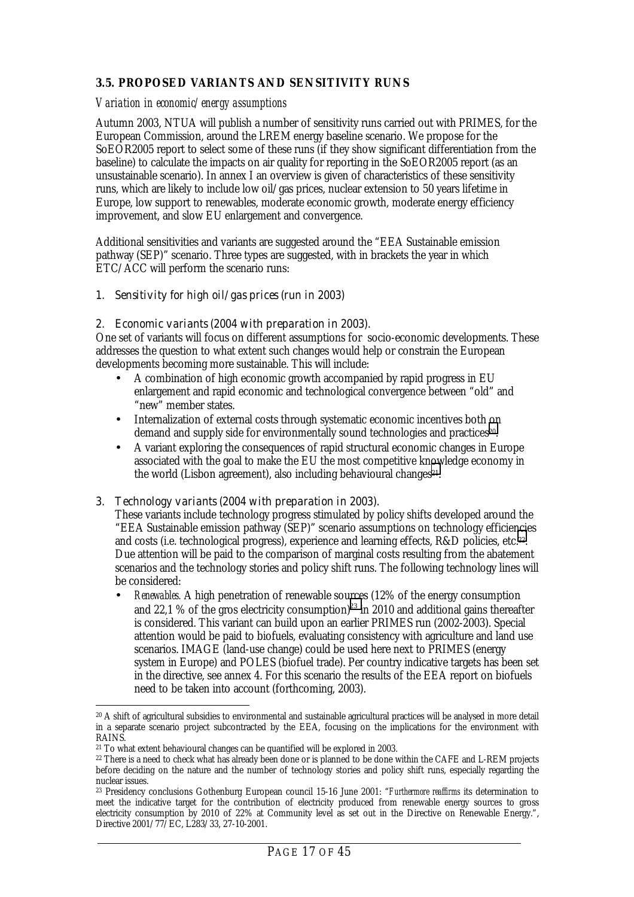### <span id="page-16-0"></span>**3.5. PROPOSED VARIANTS AND SENSITIVITY RUNS**

#### *Variation in economic/energy assumptions*

Autumn 2003, NTUA will publish a number of sensitivity runs carried out with PRIMES, for the European Commission, around the LREM energy baseline scenario. We propose for the SoEOR2005 report to select some of these runs (if they show significant differentiation from the baseline) to calculate the impacts on air quality for reporting in the SoEOR2005 report (as an unsustainable scenario). In annex I an overview is given of characteristics of these sensitivity runs, which are likely to include low oil/gas prices, nuclear extension to 50 years lifetime in Europe, low support to renewables, moderate economic growth, moderate energy efficiency improvement, and slow EU enlargement and convergence.

Additional sensitivities and variants are suggested around the "EEA Sustainable emission pathway (SEP)" scenario. Three types are suggested, with in brackets the year in which ETC/ACC will perform the scenario runs:

#### *1. Sensitivity for high oil/gas prices (run in 2003)*

#### *2. Economic variants (2004 with preparation in 2003).*

One set of variants will focus on different assumptions for socio-economic developments. These addresses the question to what extent such changes would help or constrain the European developments becoming more sustainable. This will include:

- A combination of high economic growth accompanied by rapid progress in EU enlargement and rapid economic and technological convergence between "old" and "new" member states.
- Internalization of external costs through systematic economic incentives both on demand and supply side for environmentally sound technologies and practices<sup>20</sup>.
- A variant exploring the consequences of rapid structural economic changes in Europe associated with the goal to make the EU the most competitive knowledge economy in the world (Lisbon agreement), also including behavioural changes<sup>21</sup>.

#### *3. Technology variants (2004 with preparation in 2003).*

These variants include technology progress stimulated by policy shifts developed around the "EEA Sustainable emission pathway (SEP)" scenario assumptions on technology efficiencies and costs (i.e. technological progress), experience and learning effects, R&D policies, etc.22. Due attention will be paid to the comparison of marginal costs resulting from the abatement scenarios and the technology stories and policy shift runs. The following technology lines will be considered:

• *Renewables.* A high penetration of renewable sources (12% of the energy consumption and 22,1 % of the gros electricity consumption)<sup>23</sup> in 2010 and additional gains thereafter is considered. This variant can build upon an earlier PRIMES run (2002-2003). Special attention would be paid to biofuels, evaluating consistency with agriculture and land use scenarios. IMAGE (land-use change) could be used here next to PRIMES (energy system in Europe) and POLES (biofuel trade). Per country indicative targets has been set in the directive, see annex 4. For this scenario the results of the EEA report on biofuels need to be taken into account (forthcoming, 2003).

 $\overline{a}$ 20 A shift of agricultural subsidies to environmental and sustainable agricultural practices will be analysed in more detail in a separate scenario project subcontracted by the EEA, focusing on the implications for the environment with RAINS.

<sup>21</sup> To what extent behavioural changes can be quantified will be explored in 2003.

<sup>22</sup> There is a need to check what has already been done or is planned to be done within the CAFE and L-REM projects before deciding on the nature and the number of technology stories and policy shift runs, especially regarding the nuclear issues.

<sup>23</sup> Presidency conclusions Gothenburg European council 15-16 June 2001: "*Furthermore reaffirms* its determination to meet the indicative target for the contribution of electricity produced from renewable energy sources to gross electricity consumption by 2010 of 22% at Community level as set out in the Directive on Renewable Energy.", Directive 2001/77/EC, L283/33, 27-10-2001.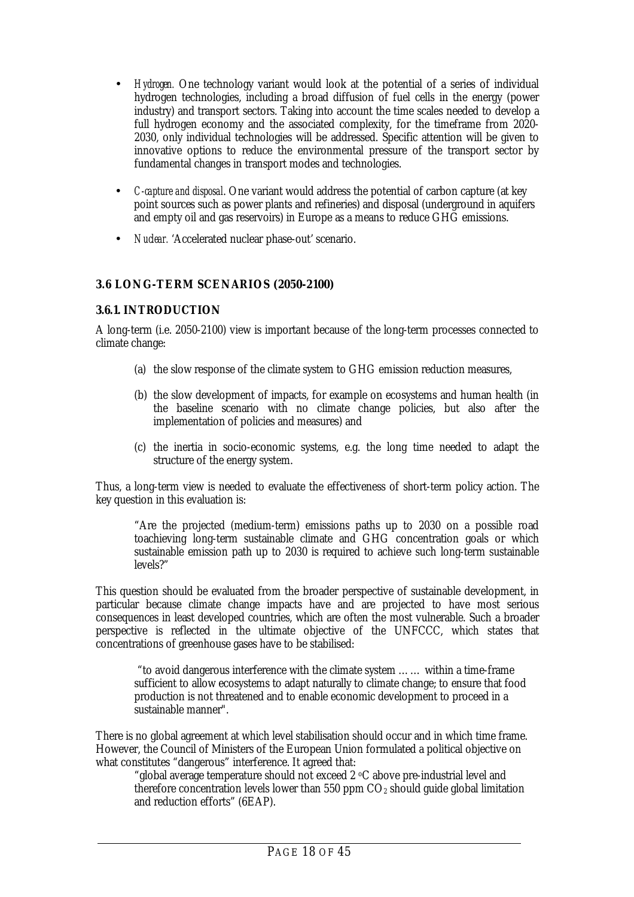- <span id="page-17-0"></span>• *Hydrogen.* One technology variant would look at the potential of a series of individual hydrogen technologies, including a broad diffusion of fuel cells in the energy (power industry) and transport sectors. Taking into account the time scales needed to develop a full hydrogen economy and the associated complexity, for the timeframe from 2020- 2030, only individual technologies will be addressed. Specific attention will be given to innovative options to reduce the environmental pressure of the transport sector by fundamental changes in transport modes and technologies.
- *C-capture and disposal*. One variant would address the potential of carbon capture (at key point sources such as power plants and refineries) and disposal (underground in aquifers and empty oil and gas reservoirs) in Europe as a means to reduce GHG emissions.
- *Nuclear.* 'Accelerated nuclear phase-out' scenario.

#### **3.6 LONG-TERM SCENARIOS (2050-2100)**

#### **3.6.1. INTRODUCTION**

A long-term (i.e. 2050-2100) view is important because of the long-term processes connected to climate change:

- (a) the slow response of the climate system to GHG emission reduction measures,
- (b) the slow development of impacts, for example on ecosystems and human health (in the baseline scenario with no climate change policies, but also after the implementation of policies and measures) and
- (c) the inertia in socio-economic systems, e.g. the long time needed to adapt the structure of the energy system.

Thus, a long-term view is needed to evaluate the effectiveness of short-term policy action. The key question in this evaluation is:

"Are the projected (medium-term) emissions paths up to 2030 on a possible road toachieving long-term sustainable climate and GHG concentration goals or which sustainable emission path up to 2030 is required to achieve such long-term sustainable levels?"

This question should be evaluated from the broader perspective of sustainable development, in particular because climate change impacts have and are projected to have most serious consequences in least developed countries, which are often the most vulnerable. Such a broader perspective is reflected in the ultimate objective of the UNFCCC, which states that concentrations of greenhouse gases have to be stabilised:

"to avoid dangerous interference with the climate system …… within a time-frame sufficient to allow ecosystems to adapt naturally to climate change; to ensure that food production is not threatened and to enable economic development to proceed in a sustainable manner".

There is no global agreement at which level stabilisation should occur and in which time frame. However, the Council of Ministers of the European Union formulated a political objective on what constitutes "dangerous" interference. It agreed that:

"global average temperature should not exceed 2 oC above pre-industrial level and therefore concentration levels lower than 550 ppm  $CO<sub>2</sub>$  should guide global limitation and reduction efforts" (6EAP).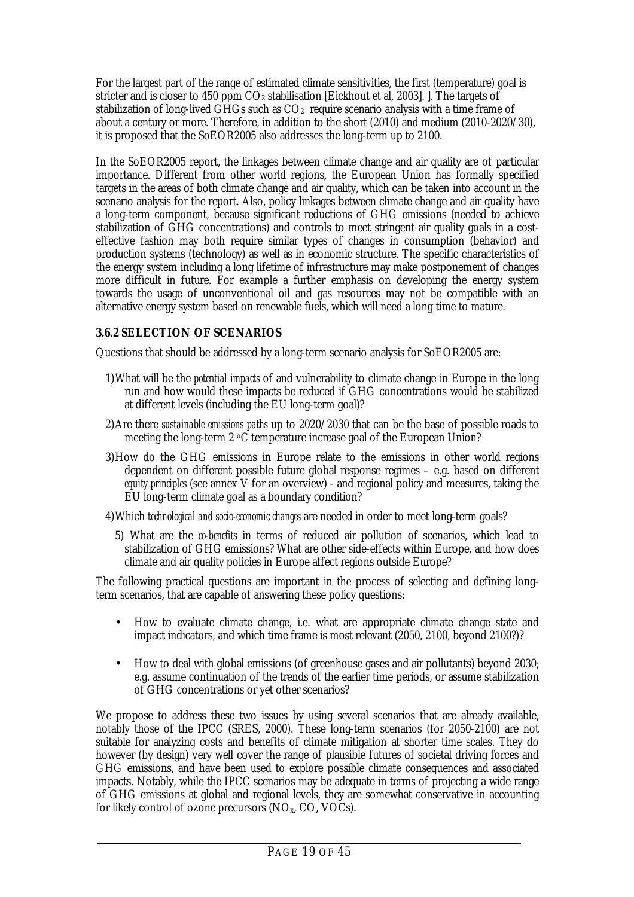<span id="page-18-0"></span>For the largest part of the range of estimated climate sensitivities, the first (temperature) goal is stricter and is closer to 450 ppm  $CO<sub>2</sub>$  stabilisation [Eickhout et al, 2003]. ]. The targets of stabilization of long-lived GHGs such as  $CO<sub>2</sub>$  require scenario analysis with a time frame of about a century or more. Therefore, in addition to the short (2010) and medium (2010-2020/30), it is proposed that the SoEOR2005 also addresses the long-term up to 2100.

In the SoEOR2005 report, the linkages between climate change and air quality are of particular importance. Different from other world regions, the European Union has formally specified targets in the areas of both climate change and air quality, which can be taken into account in the scenario analysis for the report. Also, policy linkages between climate change and air quality have a long-term component, because significant reductions of GHG emissions (needed to achieve stabilization of GHG concentrations) and controls to meet stringent air quality goals in a costeffective fashion may both require similar types of changes in consumption (behavior) and production systems (technology) as well as in economic structure. The specific characteristics of the energy system including a long lifetime of infrastructure may make postponement of changes more difficult in future. For example a further emphasis on developing the energy system towards the usage of unconventional oil and gas resources may not be compatible with an alternative energy system based on renewable fuels, which will need a long time to mature.

### **3.6.2 SELECTION OF SCENARIOS**

Questions that should be addressed by a long-term scenario analysis for SoEOR2005 are:

- 1)What will be the *potential impacts* of and vulnerability to climate change in Europe in the long run and how would these impacts be reduced if GHG concentrations would be stabilized at different levels (including the EU long-term goal)?
- 2)Are there *sustainable emissions paths* up to 2020/2030 that can be the base of possible roads to meeting the long-term  $2 \text{ }^{\circ}$ C temperature increase goal of the European Union?
- 3)How do the GHG emissions in Europe relate to the emissions in other world regions dependent on different possible future global response regimes – e.g. based on different *equity principles* (see annex V for an overview) - and regional policy and measures, taking the EU long-term climate goal as a boundary condition?
- 4)Which *technological and socio-economic changes* are needed in order to meet long-term goals?
	- 5) What are the *co-benefits* in terms of reduced air pollution of scenarios, which lead to stabilization of GHG emissions? What are other side-effects within Europe, and how does climate and air quality policies in Europe affect regions outside Europe?

The following practical questions are important in the process of selecting and defining longterm scenarios, that are capable of answering these policy questions:

- How to evaluate climate change, i.e. what are appropriate climate change state and impact indicators, and which time frame is most relevant (2050, 2100, beyond 2100?)?
- How to deal with global emissions (of greenhouse gases and air pollutants) beyond 2030; e.g. assume continuation of the trends of the earlier time periods, or assume stabilization of GHG concentrations or yet other scenarios?

We propose to address these two issues by using several scenarios that are already available, notably those of the IPCC (SRES, 2000). These long-term scenarios (for 2050-2100) are not suitable for analyzing costs and benefits of climate mitigation at shorter time scales. They do however (by design) very well cover the range of plausible futures of societal driving forces and GHG emissions, and have been used to explore possible climate consequences and associated impacts. Notably, while the IPCC scenarios may be adequate in terms of projecting a wide range of GHG emissions at global and regional levels, they are somewhat conservative in accounting for likely control of ozone precursors  $(NO<sub>x</sub>, CO, VOCs)$ .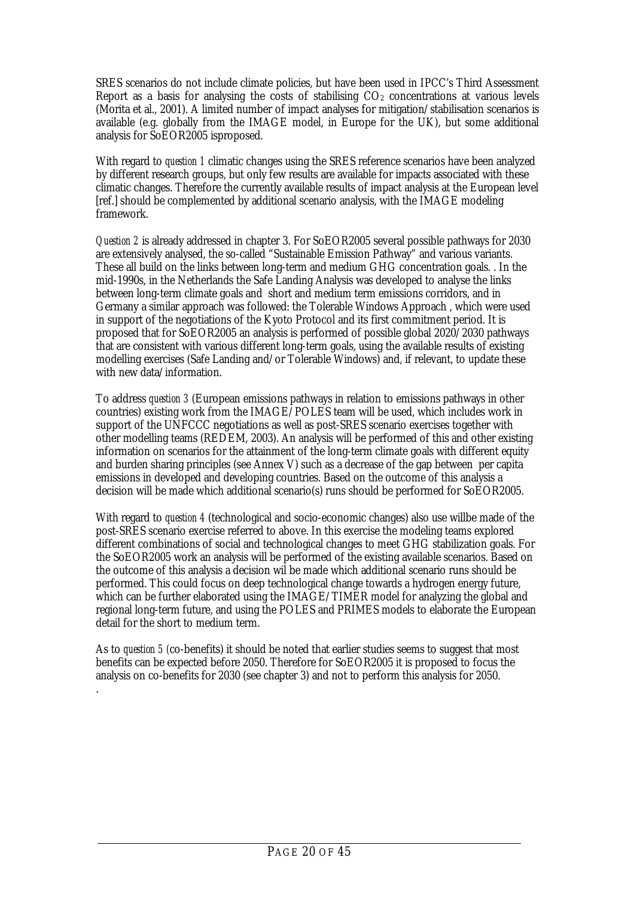SRES scenarios do not include climate policies, but have been used in IPCC's Third Assessment Report as a basis for analysing the costs of stabilising  $CO<sub>2</sub>$  concentrations at various levels (Morita et al., 2001). A limited number of impact analyses for mitigation/stabilisation scenarios is available (e.g. globally from the IMAGE model, in Europe for the UK), but some additional analysis for SoEOR2005 isproposed.

With regard to *question 1* climatic changes using the SRES reference scenarios have been analyzed by different research groups, but only few results are available for impacts associated with these climatic changes. Therefore the currently available results of impact analysis at the European level [ref.] should be complemented by additional scenario analysis, with the IMAGE modeling framework.

*Question 2* is already addressed in chapter 3. For SoEOR2005 several possible pathways for 2030 are extensively analysed, the so-called "Sustainable Emission Pathway" and various variants. These all build on the links between long-term and medium GHG concentration goals. . In the mid-1990s, in the Netherlands the Safe Landing Analysis was developed to analyse the links between long-term climate goals and short and medium term emissions corridors, and in Germany a similar approach was followed: the Tolerable Windows Approach , which were used in support of the negotiations of the Kyoto Protocol and its first commitment period. It is proposed that for SoEOR2005 an analysis is performed of possible global 2020/2030 pathways that are consistent with various different long-term goals, using the available results of existing modelling exercises (Safe Landing and/or Tolerable Windows) and, if relevant, to update these with new data/information.

To address *question 3* (European emissions pathways in relation to emissions pathways in other countries) existing work from the IMAGE/POLES team will be used, which includes work in support of the UNFCCC negotiations as well as post-SRES scenario exercises together with other modelling teams (REDEM, 2003). An analysis will be performed of this and other existing information on scenarios for the attainment of the long-term climate goals with different equity and burden sharing principles (see Annex V) such as a decrease of the gap between per capita emissions in developed and developing countries. Based on the outcome of this analysis a decision will be made which additional scenario(s) runs should be performed for SoEOR2005.

With regard to *question 4* (technological and socio-economic changes) also use willbe made of the post-SRES scenario exercise referred to above. In this exercise the modeling teams explored different combinations of social and technological changes to meet GHG stabilization goals. For the SoEOR2005 work an analysis will be performed of the existing available scenarios. Based on the outcome of this analysis a decision wil be made which additional scenario runs should be performed. This could focus on deep technological change towards a hydrogen energy future, which can be further elaborated using the IMAGE/TIMER model for analyzing the global and regional long-term future, and using the POLES and PRIMES models to elaborate the European detail for the short to medium term.

As to *question 5 (*co-benefits) it should be noted that earlier studies seems to suggest that most benefits can be expected before 2050. Therefore for SoEOR2005 it is proposed to focus the analysis on co-benefits for 2030 (see chapter 3) and not to perform this analysis for 2050.

.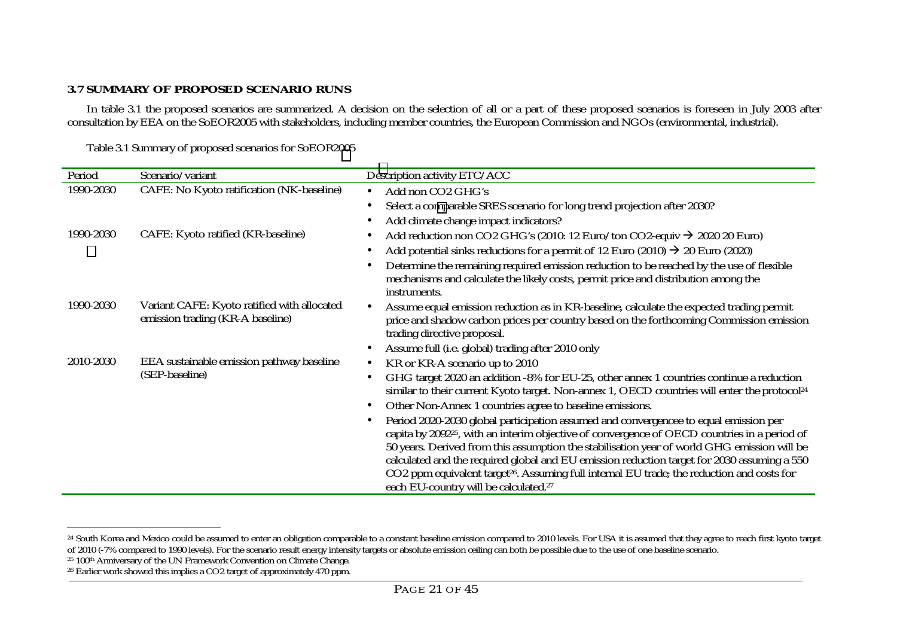### <span id="page-20-0"></span>**3.7 SUMMARY OF PROPOSED SCENARIO RUNS**

In table 3.1 the proposed scenarios are summarized. A decision on the selection of all or a part of these proposed scenarios is foreseen in July 2003 after consultation by EEA on the SoEOR2005 with stakeholders, including member countries, the European Commission and NGOs (environmental, industrial).

Table 3.1 Summary of proposed scenarios for SoEOR2005

| Period    | Scenario/variant                                                                | Description activity ETC/ACC                                                                                                                                                                                       |
|-----------|---------------------------------------------------------------------------------|--------------------------------------------------------------------------------------------------------------------------------------------------------------------------------------------------------------------|
| 1990-2030 | CAFE: No Kyoto ratification (NK-baseline)                                       | Add non CO <sub>2</sub> GHG's<br>$\bullet$                                                                                                                                                                         |
|           |                                                                                 | Select a comparable SRES scenario for long trend projection after 2030?                                                                                                                                            |
|           |                                                                                 | Add climate change impact indicators?                                                                                                                                                                              |
| 1990-2030 | CAFE: Kyoto ratified (KR-baseline)                                              | Add reduction non CO2 GHG's (2010: 12 Euro/ton CO2-equiv $\rightarrow$ 2020 20 Euro)                                                                                                                               |
|           |                                                                                 | Add potential sinks reductions for a permit of 12 Euro (2010) $\rightarrow$ 20 Euro (2020)                                                                                                                         |
|           |                                                                                 | Determine the remaining required emission reduction to be reached by the use of flexible<br>mechanisms and calculate the likely costs, permit price and distribution among the<br>instruments.                     |
| 1990-2030 | Variant CAFE: Kyoto ratified with allocated<br>emission trading (KR-A baseline) | Assume equal emission reduction as in KR-baseline, calculate the expected trading permit<br>price and shadow carbon prices per country based on the forthcoming Commission emission<br>trading directive proposal. |
|           |                                                                                 | Assume full (i.e. global) trading after 2010 only                                                                                                                                                                  |
| 2010-2030 | EEA sustainable emission pathway baseline                                       | KR or KR-A scenario up to 2010<br>$\bullet$                                                                                                                                                                        |
|           | (SEP-baseline)                                                                  | GHG target 2020 an addition -8% for EU-25, other annex 1 countries continue a reduction<br>similar to their current Kyoto target. Non-annex 1, OECD countries will enter the protocol <sup>24</sup>                |
|           |                                                                                 | Other Non-Annex 1 countries agree to baseline emissions.                                                                                                                                                           |
|           |                                                                                 | Period 2020-2030 global participation assumed and convergencee to equal emission per                                                                                                                               |
|           |                                                                                 | capita by 2092 <sup>25</sup> , with an interim objective of convergence of OECD countries in a period of                                                                                                           |
|           |                                                                                 | 50 years. Derived from this assumption the stabilisation year of world GHG emission will be                                                                                                                        |
|           |                                                                                 | calculated and the required global and EU emission reduction target for 2030 assuming a 550<br>CO2 ppm equivalent target <sup>26</sup> . Assuming full internal EU trade; the reduction and costs for              |
|           |                                                                                 | each EU-country will be calculated. <sup>27</sup>                                                                                                                                                                  |

25 100th Anniversary of the UN Framework Convention on Climate Change.

<sup>&</sup>lt;sup>24</sup> South Korea and Mexico could be assumed to enter an obligation comparable to a constant baseline emission compared to 2010 levels. For USA it is assumed that they agree to reach first kyoto target of 2010 (-7% compared to 1990 levels). For the scenario result energy intensity targets or absolute emission ceiling can both be possible due to the use of one baseline scenario.

<sup>26</sup> Earlier work showed this implies a CO2 target of approximately 470 ppm.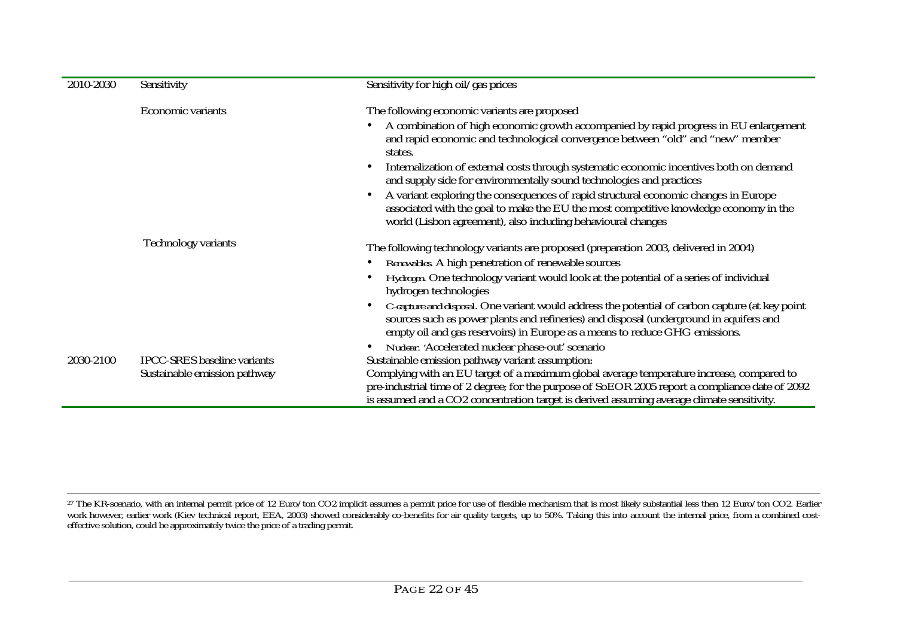| 2010-2030 | Sensitivity                        | Sensitivity for high oil/gas prices                                                                                                                                                                                                                                                           |
|-----------|------------------------------------|-----------------------------------------------------------------------------------------------------------------------------------------------------------------------------------------------------------------------------------------------------------------------------------------------|
|           | <b>Economic variants</b>           | The following economic variants are proposed                                                                                                                                                                                                                                                  |
|           |                                    | A combination of high economic growth accompanied by rapid progress in EU enlargement<br>$\bullet$<br>and rapid economic and technological convergence between "old" and "new" member<br>states.                                                                                              |
|           |                                    | Internalization of external costs through systematic economic incentives both on demand<br>$\bullet$<br>and supply side for environmentally sound technologies and practices                                                                                                                  |
|           |                                    | A variant exploring the consequences of rapid structural economic changes in Europe<br>$\bullet$<br>associated with the goal to make the EU the most competitive knowledge economy in the<br>world (Lisbon agreement), also including behavioural changes                                     |
|           | <b>Technology variants</b>         | The following technology variants are proposed (preparation 2003, delivered in 2004)                                                                                                                                                                                                          |
|           |                                    | Renewables. A high penetration of renewable sources<br>$\bullet$                                                                                                                                                                                                                              |
|           |                                    | Hydrogen. One technology variant would look at the potential of a series of individual<br>$\bullet$<br>hydrogen technologies                                                                                                                                                                  |
|           |                                    | <i>C</i> -capture and disposal. One variant would address the potential of carbon capture (at key point<br>$\bullet$<br>sources such as power plants and refineries) and disposal (underground in aquifers and<br>empty oil and gas reservoirs) in Europe as a means to reduce GHG emissions. |
|           |                                    | Nudear. 'Accelerated nuclear phase-out' scenario<br>$\bullet$                                                                                                                                                                                                                                 |
| 2030-2100 | <b>IPCC-SRES</b> baseline variants | Sustainable emission pathway variant assumption:                                                                                                                                                                                                                                              |
|           | Sustainable emission pathway       | Complying with an EU target of a maximum global average temperature increase, compared to<br>pre-industrial time of 2 degree; for the purpose of SoEOR 2005 report a compliance date of 2092<br>is assumed and a CO2 concentration target is derived assuming average climate sensitivity.    |

 $^{27}$  The KR-scenario, with an internal permit price of 12 Euro/ton CO2 implicit assumes a permit price for use of flexible mechanism that is most likely substantial less then 12 Euro/ton CO2. Earlier work however, earlier work (Kiev technical report, EEA, 2003) showed considerably co-benefits for air quality targets, up to 50%. Taking this into account the internal price, from a combined costeffective solution, could be approximately twice the price of a trading permit.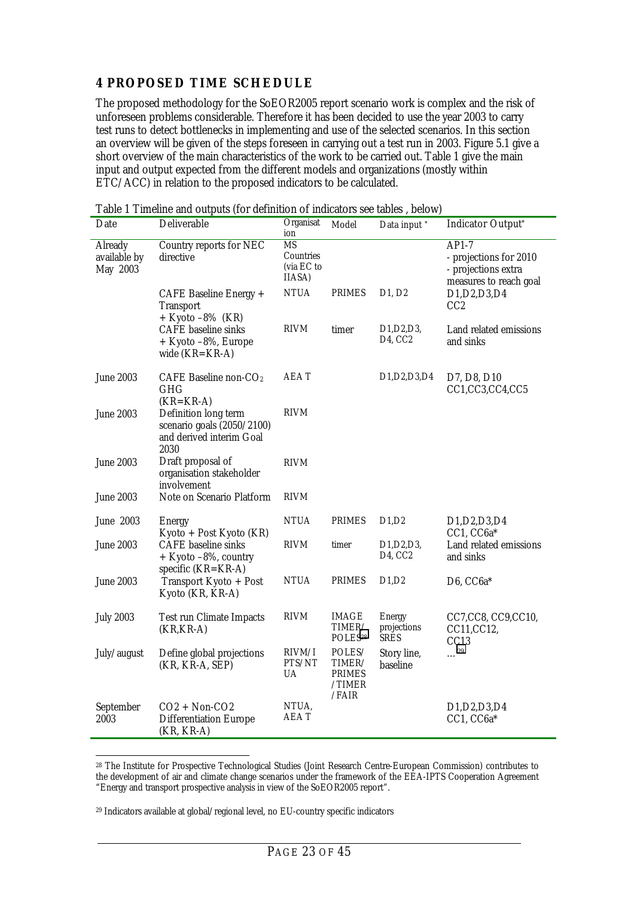### <span id="page-22-0"></span>**4 PROPOSED TIME SCHEDULE**

The proposed methodology for the SoEOR2005 report scenario work is complex and the risk of unforeseen problems considerable. Therefore it has been decided to use the year 2003 to carry test runs to detect bottlenecks in implementing and use of the selected scenarios. In this section an overview will be given of the steps foreseen in carrying out a test run in 2003. Figure 5.1 give a short overview of the main characteristics of the work to be carried out. Table 1 give the main input and output expected from the different models and organizations (mostly within ETC/ACC) in relation to the proposed indicators to be calculated.

| Date                                       | Deliverable                                                                            | Organisat<br>ion                        | Model                                                | Data input *                                                                            | Indicator Output*                                                                  |
|--------------------------------------------|----------------------------------------------------------------------------------------|-----------------------------------------|------------------------------------------------------|-----------------------------------------------------------------------------------------|------------------------------------------------------------------------------------|
| <b>Already</b><br>available by<br>May 2003 | Country reports for NEC<br>directive                                                   | MS<br>Countries<br>(via EC to<br>IIASA) |                                                      |                                                                                         | $AP1-7$<br>- projections for 2010<br>- projections extra<br>measures to reach goal |
|                                            | CAFE Baseline Energy +<br><b>Transport</b><br>$+$ Kyoto $-8\%$ (KR)                    | <b>NTUA</b>                             | <b>PRIMES</b>                                        | D <sub>1</sub> , D <sub>2</sub>                                                         | D1, D2, D3, D4<br>CC <sub>2</sub>                                                  |
|                                            | <b>CAFE</b> baseline sinks<br>+ Kyoto -8%, Europe<br>wide $(KR=KR-A)$                  | RIVM                                    | timer                                                | D <sub>1</sub> , D <sub>2</sub> , D <sub>3</sub> ,<br>D <sub>4</sub> , C <sub>C</sub> 2 | Land related emissions<br>and sinks                                                |
| <b>June 2003</b>                           | CAFE Baseline non- $CO2$<br><b>GHG</b><br>$(KR=KR-A)$                                  | AEA T                                   |                                                      | D <sub>1</sub> , D <sub>2</sub> , D <sub>3</sub> , D <sub>4</sub>                       | D7, D8, D10<br>CC1,CC3,CC4,CC5                                                     |
| <b>June 2003</b>                           | Definition long term<br>scenario goals (2050/2100)<br>and derived interim Goal<br>2030 | <b>RIVM</b>                             |                                                      |                                                                                         |                                                                                    |
| <b>June 2003</b>                           | Draft proposal of<br>organisation stakeholder<br>involvement                           | <b>RIVM</b>                             |                                                      |                                                                                         |                                                                                    |
| <b>June 2003</b>                           | Note on Scenario Platform                                                              | <b>RIVM</b>                             |                                                      |                                                                                         |                                                                                    |
| <b>June 2003</b>                           | <b>Energy</b><br>Kyoto + Post Kyoto (KR)                                               | <b>NTUA</b>                             | <b>PRIMES</b>                                        | D1,D2                                                                                   | D <sub>1</sub> , D <sub>2</sub> , D <sub>3</sub> , D <sub>4</sub><br>CC1, CC6a*    |
| <b>June 2003</b>                           | <b>CAFE</b> baseline sinks<br>$+$ Kyoto $-8\%$ , country<br>specific $(KR=KR-A)$       | RIVM                                    | timer                                                | D <sub>1</sub> , D <sub>2</sub> , D <sub>3</sub> ,<br>D <sub>4</sub> , CC <sub>2</sub>  | Land related emissions<br>and sinks                                                |
| <b>June 2003</b>                           | Transport Kyoto + Post<br>Kyoto (KR, KR-A)                                             | <b>NTUA</b>                             | <b>PRIMES</b>                                        | D1,D2                                                                                   | $D6$ , $CC6a*$                                                                     |
| <b>July 2003</b>                           | <b>Test run Climate Impacts</b><br>$(KR, KR-A)$                                        | <b>RIVM</b>                             | IMAGE<br>TIMER/<br>POLES <sup>28</sup>               | <b>Energy</b><br>projections<br><b>SRES</b>                                             | CC7,CC8, CC9,CC10,<br>CC11, CC12,<br>CC13                                          |
| July/august                                | Define global projections<br>(KR, KR-A, SEP)                                           | RIVM/I<br>PTS/NT<br>UA                  | POLES/<br>TIMER/<br><b>PRIMES</b><br>/TIMER<br>/FAIR | Story line,<br>baseline                                                                 | $\ldots$ <sup>29</sup>                                                             |
| September<br>2003                          | $CO2 + Non-CO2$<br><b>Differentiation Europe</b><br>$(KR, KR-A)$                       | NTUA,<br>AEA T                          |                                                      |                                                                                         | D1, D2, D3, D4<br>$CC1, CC6a*$                                                     |

Table 1 Timeline and outputs (for definition of indicators see tables , below)

28 The Institute for Prospective Technological Studies (Joint Research Centre-European Commission) contributes to the development of air and climate change scenarios under the framework of the EEA-IPTS Cooperation Agreement "Energy and transport prospective analysis in view of the SoEOR2005 report".

29 Indicators available at global/regional level, no EU-country specific indicators

 $\ddot{\phantom{a}}$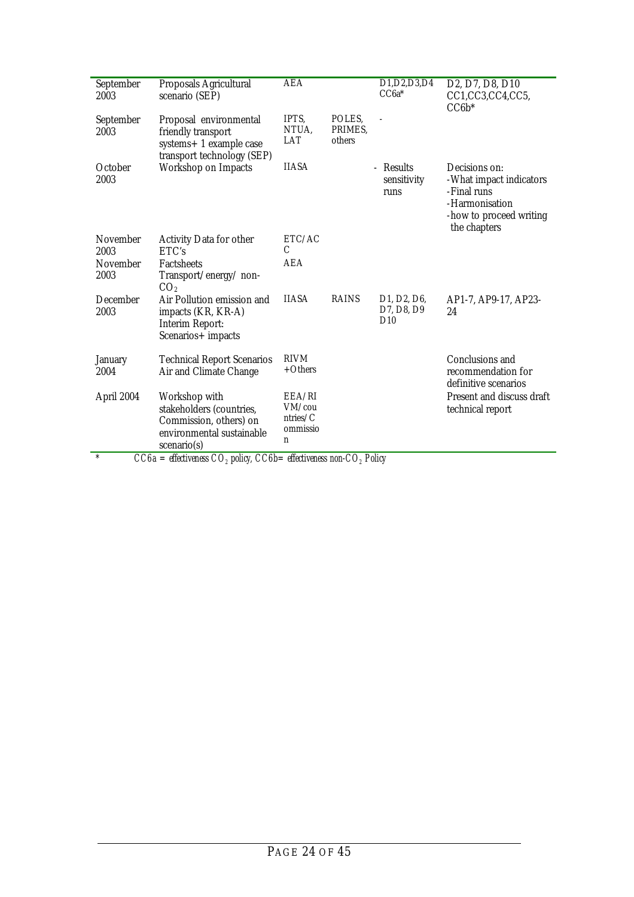| September<br>2003       | Proposals Agricultural<br>scenario (SEP)                                                              | <b>AEA</b>                   |                             | D1, D2, D3, D4<br>$CC6a*$                                               | D <sub>2</sub> , D <sub>7</sub> , D <sub>8</sub> , D <sub>10</sub><br>CC1,CC3,CC4,CC5,<br>$CC6b*$                    |
|-------------------------|-------------------------------------------------------------------------------------------------------|------------------------------|-----------------------------|-------------------------------------------------------------------------|----------------------------------------------------------------------------------------------------------------------|
| September<br>2003       | Proposal environmental<br>friendly transport<br>systems+ 1 example case<br>transport technology (SEP) | IPTS,<br>NTUA,<br><b>LAT</b> | POLES,<br>PRIMES,<br>others |                                                                         |                                                                                                                      |
| October<br>2003         | <b>Workshop on Impacts</b>                                                                            | <b>IIASA</b>                 |                             | - Results<br>sensitivity<br>runs                                        | Decisions on:<br>-What impact indicators<br>-Final runs<br>-Harmonisation<br>-how to proceed writing<br>the chapters |
| <b>November</b><br>2003 | <b>Activity Data for other</b><br>ETC's                                                               | ETC/AC<br>C                  |                             |                                                                         |                                                                                                                      |
| November                | <b>Factsheets</b>                                                                                     | <b>AEA</b>                   |                             |                                                                         |                                                                                                                      |
| 2003                    | Transport/energy/non-<br>CO <sub>2</sub>                                                              |                              |                             |                                                                         |                                                                                                                      |
| December<br>2003        | Air Pollution emission and<br>impacts (KR, KR-A)<br><b>Interim Report:</b><br>Scenarios+ impacts      | <b>IIASA</b>                 | <b>RAINS</b>                | D <sub>1</sub> , D <sub>2</sub> , D <sub>6</sub> ,<br>D7, D8, D9<br>D10 | AP1-7, AP9-17, AP23-<br>24                                                                                           |
| <b>January</b><br>2004  | <b>Technical Report Scenarios</b><br>Air and Climate Change                                           | <b>RIVM</b><br>$+Others$     |                             |                                                                         | Conclusions and<br>recommendation for<br>definitive scenarios                                                        |
| April 2004              | Workshop with                                                                                         | EEA/RI                       |                             |                                                                         | Present and discuss draft                                                                                            |
|                         | stakeholders (countries,<br>Commission, others) on                                                    | VM/cou<br>ntries/C           |                             |                                                                         | technical report                                                                                                     |
|                         | environmental sustainable<br>scenario(s)                                                              | ommissio<br>n                |                             |                                                                         |                                                                                                                      |
| $\ast$                  | $CC6a =$ effectiveness $CO2$ policy, $CC6b =$ effectiveness non- $CO2$ Policy                         |                              |                             |                                                                         |                                                                                                                      |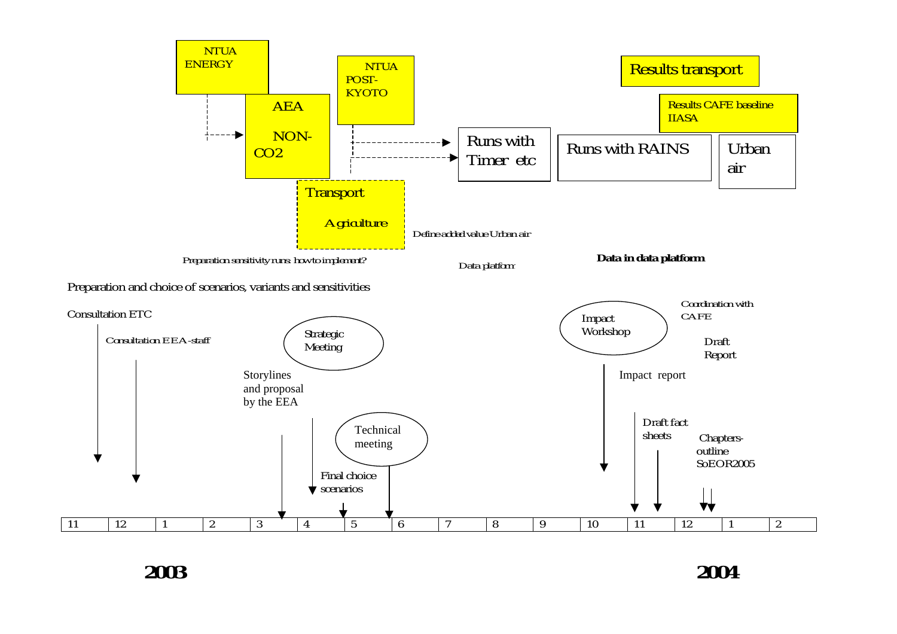

**2003 2004**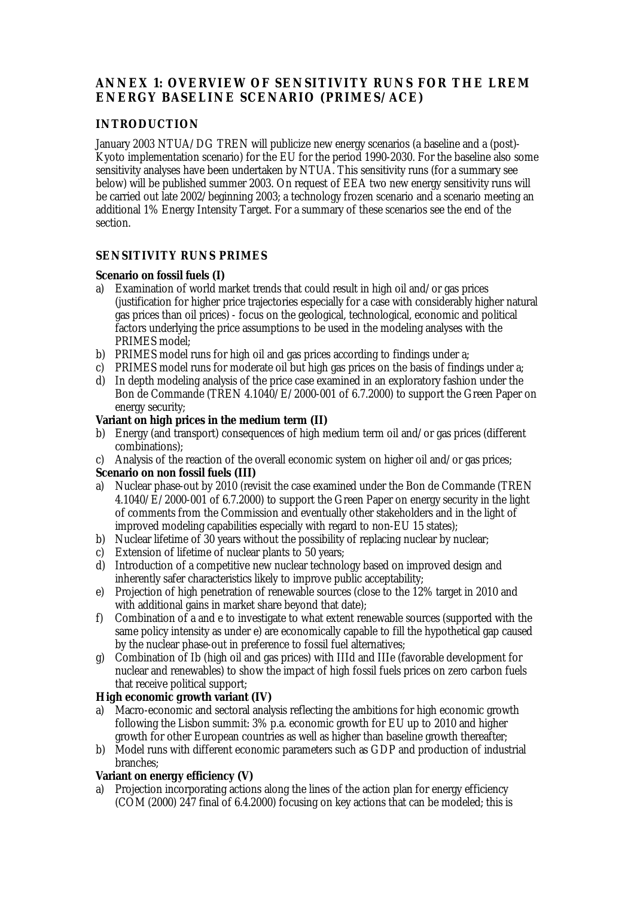# <span id="page-26-0"></span>**ANNEX 1: OVERVIEW OF SENSITIVITY RUNS FOR THE LREM ENERGY BASELINE SCENARIO (PRIMES/ACE)**

#### **INTRODUCTION**

January 2003 NTUA/DG TREN will publicize new energy scenarios (a baseline and a (post)- Kyoto implementation scenario) for the EU for the period 1990-2030. For the baseline also some sensitivity analyses have been undertaken by NTUA. This sensitivity runs (for a summary see below) will be published summer 2003. On request of EEA two new energy sensitivity runs will be carried out late 2002/beginning 2003; a technology frozen scenario and a scenario meeting an additional 1% Energy Intensity Target. For a summary of these scenarios see the end of the section.

#### **SENSITIVITY RUNS PRIMES**

#### **Scenario on fossil fuels (I)**

- a) Examination of world market trends that could result in high oil and/or gas prices (justification for higher price trajectories especially for a case with considerably higher natural gas prices than oil prices) - focus on the geological, technological, economic and political factors underlying the price assumptions to be used in the modeling analyses with the PRIMES model;
- b) PRIMES model runs for high oil and gas prices according to findings under a;
- c) PRIMES model runs for moderate oil but high gas prices on the basis of findings under a;
- d) In depth modeling analysis of the price case examined in an exploratory fashion under the Bon de Commande (TREN 4.1040/E/2000-001 of 6.7.2000) to support the Green Paper on energy security;

#### **Variant on high prices in the medium term (II)**

- b) Energy (and transport) consequences of high medium term oil and/or gas prices (different combinations);
- c) Analysis of the reaction of the overall economic system on higher oil and/or gas prices; **Scenario on non fossil fuels (III)**
- a) Nuclear phase-out by 2010 (revisit the case examined under the Bon de Commande (TREN 4.1040/E/2000-001 of 6.7.2000) to support the Green Paper on energy security in the light of comments from the Commission and eventually other stakeholders and in the light of improved modeling capabilities especially with regard to non-EU 15 states);
- b) Nuclear lifetime of 30 years without the possibility of replacing nuclear by nuclear;
- c) Extension of lifetime of nuclear plants to 50 years;
- d) Introduction of a competitive new nuclear technology based on improved design and inherently safer characteristics likely to improve public acceptability;
- e) Projection of high penetration of renewable sources (close to the 12% target in 2010 and with additional gains in market share beyond that date);
- f) Combination of a and e to investigate to what extent renewable sources (supported with the same policy intensity as under e) are economically capable to fill the hypothetical gap caused by the nuclear phase-out in preference to fossil fuel alternatives;
- g) Combination of Ib (high oil and gas prices) with IIId and IIIe (favorable development for nuclear and renewables) to show the impact of high fossil fuels prices on zero carbon fuels that receive political support;

#### **High economic growth variant (IV)**

- a) Macro-economic and sectoral analysis reflecting the ambitions for high economic growth following the Lisbon summit: 3% p.a. economic growth for EU up to 2010 and higher growth for other European countries as well as higher than baseline growth thereafter;
- b) Model runs with different economic parameters such as GDP and production of industrial branches;

#### **Variant on energy efficiency (V)**

a) Projection incorporating actions along the lines of the action plan for energy efficiency (COM (2000) 247 final of 6.4.2000) focusing on key actions that can be modeled; this is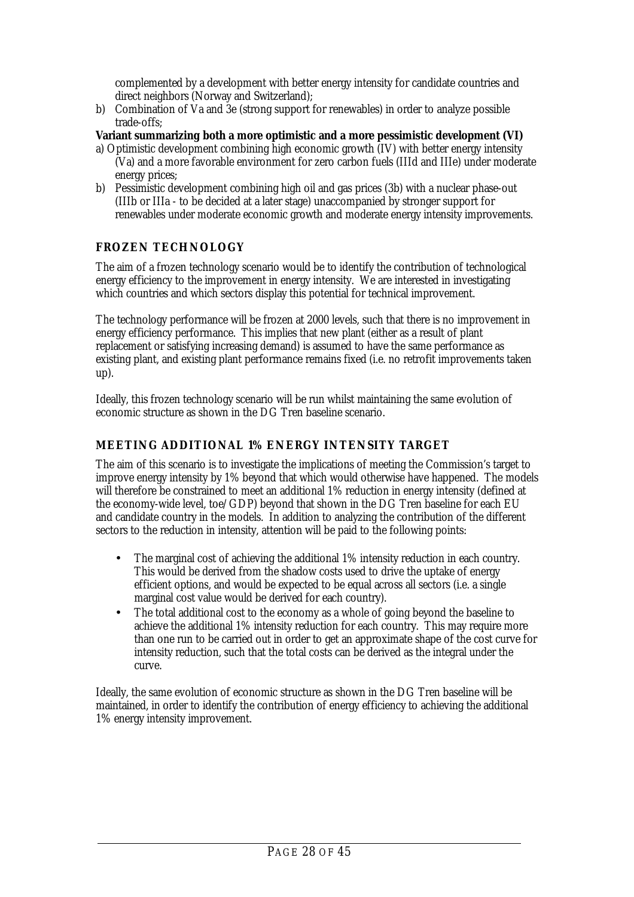<span id="page-27-0"></span>complemented by a development with better energy intensity for candidate countries and direct neighbors (Norway and Switzerland);

b) Combination of Va and 3e (strong support for renewables) in order to analyze possible trade-offs;

**Variant summarizing both a more optimistic and a more pessimistic development (VI)** a) Optimistic development combining high economic growth (IV) with better energy intensity

- (Va) and a more favorable environment for zero carbon fuels (IIId and IIIe) under moderate energy prices;
- b) Pessimistic development combining high oil and gas prices (3b) with a nuclear phase-out (IIIb or IIIa - to be decided at a later stage) unaccompanied by stronger support for renewables under moderate economic growth and moderate energy intensity improvements.

# **FROZEN TECHNOLOGY**

The aim of a frozen technology scenario would be to identify the contribution of technological energy efficiency to the improvement in energy intensity. We are interested in investigating which countries and which sectors display this potential for technical improvement.

The technology performance will be frozen at 2000 levels, such that there is no improvement in energy efficiency performance. This implies that new plant (either as a result of plant replacement or satisfying increasing demand) is assumed to have the same performance as existing plant, and existing plant performance remains fixed (i.e. no retrofit improvements taken up).

Ideally, this frozen technology scenario will be run whilst maintaining the same evolution of economic structure as shown in the DG Tren baseline scenario.

# **MEETING ADDITIONAL 1% ENERGY INTENSITY TARGET**

The aim of this scenario is to investigate the implications of meeting the Commission's target to improve energy intensity by 1% beyond that which would otherwise have happened. The models will therefore be constrained to meet an additional 1% reduction in energy intensity (defined at the economy-wide level, toe/GDP) beyond that shown in the DG Tren baseline for each EU and candidate country in the models. In addition to analyzing the contribution of the different sectors to the reduction in intensity, attention will be paid to the following points:

- The marginal cost of achieving the additional 1% intensity reduction in each country. This would be derived from the shadow costs used to drive the uptake of energy efficient options, and would be expected to be equal across all sectors (i.e. a single marginal cost value would be derived for each country).
- The total additional cost to the economy as a whole of going beyond the baseline to achieve the additional 1% intensity reduction for each country. This may require more than one run to be carried out in order to get an approximate shape of the cost curve for intensity reduction, such that the total costs can be derived as the integral under the curve.

Ideally, the same evolution of economic structure as shown in the DG Tren baseline will be maintained, in order to identify the contribution of energy efficiency to achieving the additional 1% energy intensity improvement.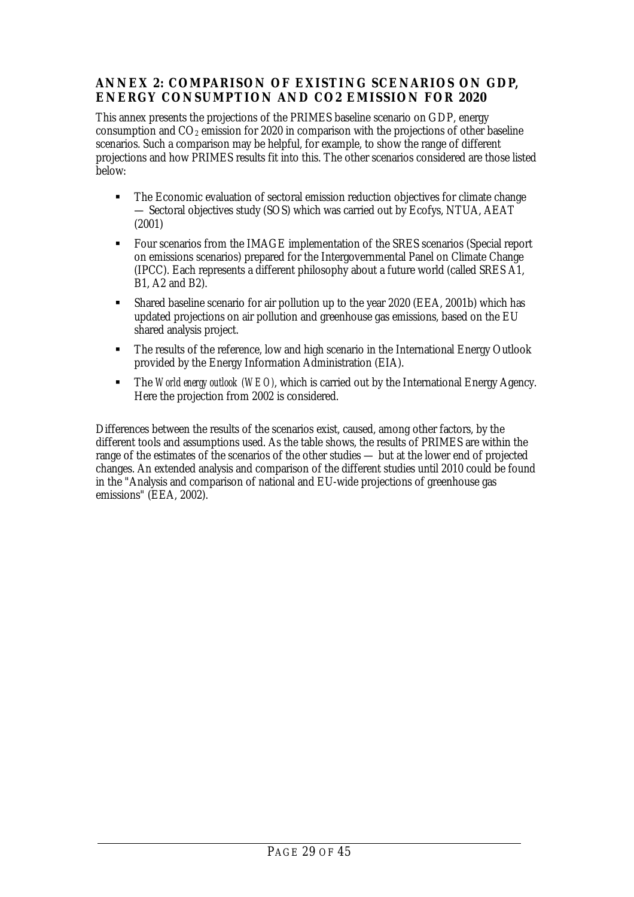## <span id="page-28-0"></span>**ANNEX 2: COMPARISON OF EXISTING SCENARIOS ON GDP, ENERGY CONSUMPTION AND CO2 EMISSION FOR 2020**

This annex presents the projections of the PRIMES baseline scenario on GDP, energy consumption and  $CO<sub>2</sub>$  emission for 2020 in comparison with the projections of other baseline scenarios. Such a comparison may be helpful, for example, to show the range of different projections and how PRIMES results fit into this. The other scenarios considered are those listed below:

- The Economic evaluation of sectoral emission reduction objectives for climate change — Sectoral objectives study (SOS) which was carried out by Ecofys, NTUA, AEAT (2001)
- Four scenarios from the IMAGE implementation of the SRES scenarios (Special report on emissions scenarios) prepared for the Intergovernmental Panel on Climate Change (IPCC). Each represents a different philosophy about a future world (called SRES A1, B1, A2 and B2).
- Shared baseline scenario for air pollution up to the year 2020 (EEA, 2001b) which has updated projections on air pollution and greenhouse gas emissions, based on the EU shared analysis project.
- The results of the reference, low and high scenario in the International Energy Outlook provided by the Energy Information Administration (EIA).
- The *World energy outlook (WEO)*, which is carried out by the International Energy Agency. Here the projection from 2002 is considered.

Differences between the results of the scenarios exist, caused, among other factors, by the different tools and assumptions used. As the table shows, the results of PRIMES are within the range of the estimates of the scenarios of the other studies — but at the lower end of projected changes. An extended analysis and comparison of the different studies until 2010 could be found in the "Analysis and comparison of national and EU-wide projections of greenhouse gas emissions" (EEA, 2002).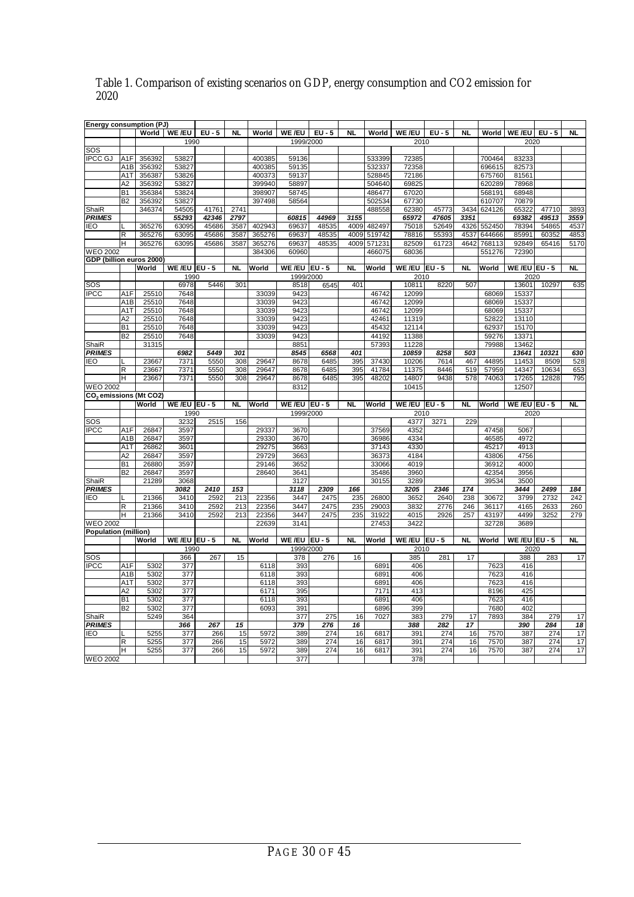| Energy consumption (PJ)                         |                  |        |                        |          |           |        |                 |        |           |             |                  |          |                 |        |                         |       |                          |
|-------------------------------------------------|------------------|--------|------------------------|----------|-----------|--------|-----------------|--------|-----------|-------------|------------------|----------|-----------------|--------|-------------------------|-------|--------------------------|
|                                                 |                  |        | World   WE /EU         | $EU - 5$ | NL        | World  | WE /EU          | $EU-5$ | <b>NL</b> | World       | <b>WE/EU</b>     | $EU - 5$ | <b>NL</b>       |        | World   WE /EU   EU - 5 |       | $\overline{\mathsf{NL}}$ |
|                                                 |                  |        | 1990                   |          |           |        | 1999/2000       |        |           |             | 2010             |          |                 |        | 2020                    |       |                          |
| SOS                                             |                  |        |                        |          |           |        |                 |        |           |             |                  |          |                 |        |                         |       |                          |
| <b>IPCC GJ</b>                                  |                  | 356392 | 53827                  |          |           | 400385 | 59136           |        |           | 533399      | 72385            |          |                 | 700464 | 83233                   |       |                          |
|                                                 | A1F              |        |                        |          |           |        |                 |        |           |             |                  |          |                 |        |                         |       |                          |
|                                                 | A1B              | 356392 | 53827                  |          |           | 400385 | 59135           |        |           | 532337      | 72358            |          |                 | 696615 | 82573                   |       |                          |
|                                                 | A <sub>1</sub> T | 356387 | 53826                  |          |           | 400373 | 59137           |        |           | 528845      | 72186            |          |                 | 675760 | 81561                   |       |                          |
|                                                 | A2               | 356392 | 53827                  |          |           | 399940 | 58897           |        |           | 504640      | 69825            |          |                 | 620289 | 78968                   |       |                          |
|                                                 | <b>B1</b>        | 356384 | 53824                  |          |           | 398907 | 58745           |        |           | 486477      | 67020            |          |                 | 568191 | 68948                   |       |                          |
|                                                 | <b>B2</b>        | 356392 | 53827                  |          |           | 397498 | 58564           |        |           | 502534      | 67730            |          |                 | 610707 | 70879                   |       |                          |
|                                                 |                  |        |                        |          |           |        |                 |        |           |             |                  |          |                 |        |                         |       |                          |
| ShaiR                                           |                  | 346374 | 54505                  | 41761    | 2741      |        |                 |        |           | 488558      | 62380            | 45773    | 3434            | 624126 | 65322                   | 47710 | 3893                     |
| <b>PRIMES</b>                                   |                  |        | 55293                  | 42346    | 2797      |        | 60815           | 44969  | 3155      |             | 65972            | 47605    | 3351            |        | 69382                   | 49513 | 3559                     |
| <b>IEO</b>                                      |                  | 365276 | 63095                  | 45686    | 3587      | 402943 | 69637           | 48535  | 4009      | 482497      | 75018            | 52649    | 4326            | 552450 | 78394                   | 54865 | 4537                     |
|                                                 | R                | 365276 | 63095                  | 45686    | 3587      | 365276 | 69637           | 48535  |           | 4009 519742 | 78816            | 55393    | 4537            | 644666 | 85991                   | 60352 | 4853                     |
|                                                 | н                | 365276 | 63095                  | 45686    | 3587      | 365276 | 69637           | 48535  | 4009      | 571231      | 82509            | 61723    | 4642            | 768113 | 92849                   | 65416 | 5170                     |
| <b>WEO 2002</b>                                 |                  |        |                        |          |           | 384306 | 60960           |        |           | 466075      | 68036            |          |                 |        | 72390                   |       |                          |
|                                                 |                  |        |                        |          |           |        |                 |        |           |             |                  |          |                 | 551276 |                         |       |                          |
| GDP (billion euros 2000)                        |                  |        |                        |          |           |        |                 |        |           |             |                  |          |                 |        |                         |       |                          |
|                                                 |                  | World  | <b>WE /EU   EU - 5</b> |          | <b>NL</b> | World  | WE/EU $ EU - 5$ |        | NL        | World       | WE /EU $ EU - 5$ |          | NL              | World  | WE/EU EU - 5            |       | <b>NL</b>                |
|                                                 |                  |        | 1990                   |          |           |        | 1999/2000       |        |           |             | 2010             |          |                 |        | 2020                    |       |                          |
| $\overline{\text{SOS}}$                         |                  |        | 6978                   | 5446     | 301       |        | 8518            | 6545   | 401       |             | 10811            | 8220     | 507             |        | 13601                   | 10297 | 635                      |
| <b>IPCC</b>                                     | A1F              | 25510  | 7648                   |          |           | 33039  | 9423            |        |           | 46742       | 12099            |          |                 | 68069  | 15337                   |       |                          |
|                                                 |                  |        | 7648                   |          |           |        | 9423            |        |           | 46742       | 12099            |          |                 |        |                         |       |                          |
|                                                 | A <sub>1</sub> B | 25510  |                        |          |           | 33039  |                 |        |           |             |                  |          |                 | 68069  | 15337                   |       |                          |
|                                                 | A1T              | 25510  | 7648                   |          |           | 33039  | 9423            |        |           | 46742       | 12099            |          |                 | 68069  | 15337                   |       |                          |
|                                                 | A2               | 25510  | 7648                   |          |           | 33039  | 9423            |        |           | 42461       | 11319            |          |                 | 52822  | 13110                   |       |                          |
|                                                 | B <sub>1</sub>   | 25510  | 7648                   |          |           | 33039  | 9423            |        |           | 45432       | 12114            |          |                 | 62937  | 15170                   |       |                          |
|                                                 | B2               | 25510  | 7648                   |          |           | 33039  | 9423            |        |           | 44192       | 11388            |          |                 | 59276  | 13371                   |       |                          |
| ShaiR                                           |                  | 31315  |                        |          |           |        | 8851            |        |           |             | 11228            |          |                 | 79988  | 13462                   |       |                          |
|                                                 |                  |        |                        |          |           |        |                 |        |           | 57393       |                  |          |                 |        |                         |       |                          |
| <b>PRIMES</b>                                   |                  |        | 6982                   | 5449     | 301       |        | 8545            | 6568   | 401       |             | 10859            | 8258     | 503             |        | 13641                   | 10321 | 630                      |
| <b>IEO</b>                                      |                  | 23667  | 7371                   | 5550     | 308       | 29647  | 8678            | 6485   | 395       | 37430       | 10206            | 7614     | 467             | 44895  | 11453                   | 8509  | 528                      |
|                                                 | R                | 23667  | 7371                   | 5550     | 308       | 29647  | 8678            | 6485   | 395       | 41784       | 11375            | 8446     | 519             | 57959  | 14347                   | 10634 | 653                      |
|                                                 | H                | 23667  | 7371                   | 5550     | 308       | 29647  | 8678            | 6485   | 395       | 48202       | 14807            | 9438     | 578             | 74063  | 17265                   | 12828 | 795                      |
| <b>WEO 2002</b>                                 |                  |        |                        |          |           |        | 8312            |        |           |             | 10415            |          |                 |        | 12507                   |       |                          |
|                                                 |                  |        |                        |          |           |        |                 |        |           |             |                  |          |                 |        |                         |       |                          |
| CO <sub>2</sub> emissions (Mt CO <sub>2</sub> ) |                  |        |                        |          |           |        |                 |        |           |             |                  |          |                 |        |                         |       |                          |
|                                                 |                  | World  | WE /EU $ EU - 5$       |          | <b>NL</b> | World  | WE/EU $ EU - 5$ |        | NL        | World       | WE/EU $ EU - 5$  |          | NL              | World  | WE /EU EU - 5           |       | <b>NL</b>                |
|                                                 |                  |        | 1990                   |          |           |        | 1999/2000       |        |           |             | 2010             |          |                 |        | 2020                    |       |                          |
| SOS                                             |                  |        | 3232                   | 2515     | 156       |        |                 |        |           |             | 4377             | 3271     | 229             |        |                         |       |                          |
| <b>IPCC</b>                                     | A <sub>1</sub> F | 26847  | 3597                   |          |           | 29337  | 3670            |        |           | 37569       | 4352             |          |                 | 47458  | 5067                    |       |                          |
|                                                 | A <sub>1</sub> B | 26847  | 3597                   |          |           | 29330  | 3670            |        |           |             |                  |          |                 |        |                         |       |                          |
|                                                 |                  |        |                        |          |           |        |                 |        |           |             |                  |          |                 |        |                         |       |                          |
|                                                 | A <sub>1</sub> T | 26862  |                        |          |           |        |                 |        |           | 36986       | 4334             |          |                 | 46585  | 4972                    |       |                          |
|                                                 | A <sub>2</sub>   |        | 3601                   |          |           | 29275  | 3663            |        |           | 37143       | 4330             |          |                 | 45217  | 4913                    |       |                          |
|                                                 |                  | 26847  | 3597                   |          |           | 29729  | 3663            |        |           | 36373       | 4184             |          |                 | 43806  | 4756                    |       |                          |
|                                                 | <b>B1</b>        | 26880  | 3597                   |          |           | 29146  | 3652            |        |           | 33066       | 4019             |          |                 | 36912  | 4000                    |       |                          |
|                                                 | B2               |        |                        |          |           |        |                 |        |           |             |                  |          |                 |        | 3956                    |       |                          |
|                                                 |                  | 26847  | 3597                   |          |           | 28640  | 3641            |        |           | 35486       | 3960             |          |                 | 42354  |                         |       |                          |
| ShaiR                                           |                  | 21289  | 3068                   |          |           |        | 3127            |        |           | 30155       | 3289             |          |                 | 39534  | 3500                    |       |                          |
| <b>PRIMES</b>                                   |                  |        | 3082                   | 2410     | 153       |        | 3118            | 2309   | 166       |             | 3205             | 2346     | 174             |        | 3444                    | 2499  | 184                      |
| <b>IEO</b>                                      |                  | 21366  | 3410                   | 2592     | 213       | 22356  | 3447            | 2475   | 235       | 26800       | 3652             | 2640     | 238             | 30672  | 3799                    | 2732  | 242                      |
|                                                 | R                | 21366  | 3410                   | 2592     | 213       | 22356  | 3447            | 2475   | 235       | 29003       | 3832             | 2776     | 246             | 36117  | 4165                    | 2633  | 260                      |
|                                                 | H                | 21366  | 3410                   | 2592     | 213       | 22356  | 3447            | 2475   | 235       | 31922       | 4015             | 2926     | 257             | 43197  | 4499                    | 3252  | 279                      |
|                                                 |                  |        |                        |          |           |        |                 |        |           |             |                  |          |                 |        |                         |       |                          |
| <b>WEO 2002</b>                                 |                  |        |                        |          |           | 22639  | 3141            |        |           | 27453       | 3422             |          |                 | 32728  | 3689                    |       |                          |
| <b>Population (million)</b>                     |                  |        |                        |          |           |        |                 |        |           |             |                  |          |                 |        |                         |       |                          |
|                                                 |                  | World  | WE /EU $ EU - 5$       |          | <b>NL</b> | World  | WE/EU $ EU - 5$ |        | NL        | World       | WE /EU $ EU - 5$ |          | <b>NL</b>       | World  | WE/EU $EU - 5$          |       | NL                       |
|                                                 |                  |        | 1990                   |          |           |        | 1999/2000       |        |           |             | 2010             |          |                 |        | 2020                    |       |                          |
| SOS                                             |                  |        | 366                    | 267      | 15        |        | 378             | 276    | 16        |             | 385              | 281      | 17              |        | 388                     | 283   | 17                       |
|                                                 | A <sub>1</sub> F | 5302   |                        |          |           |        |                 |        |           |             | 406              |          |                 |        | 416                     |       |                          |
| <b>IPCC</b>                                     |                  |        | 377                    |          |           | 6118   | 393             |        |           | 6891        |                  |          |                 | 7623   |                         |       |                          |
|                                                 | A1B              | 5302   | 377                    |          |           | 6118   | 393             |        |           | 6891        | 406              |          |                 | 7623   | 416                     |       |                          |
|                                                 | A <sub>1</sub>   | 5302   | 377                    |          |           | 6118   | 393             |        |           | 6891        | 406              |          |                 | 7623   | 416                     |       |                          |
|                                                 | A2               | 5302   | 377                    |          |           | 6171   | 395             |        |           | 7171        | 413              |          |                 | 8196   | 425                     |       |                          |
|                                                 | <b>B1</b>        | 5302   | 377                    |          |           | 6118   | 393             |        |           | 6891        | 406              |          |                 | 7623   | 416                     |       |                          |
|                                                 | $\overline{B2}$  | 5302   | 377                    |          |           | 6093   | 391             |        |           | 6896        | 399              |          |                 | 7680   | 402                     |       |                          |
|                                                 |                  |        |                        |          |           |        |                 |        |           |             |                  |          |                 |        |                         | 279   |                          |
| ShaiR                                           |                  | 5249   | 364                    |          |           |        | 377             | 275    | 16        | 7027        | 383              | 279      | 17              | 7893   | 384                     |       | 17                       |
| <b>PRIMES</b>                                   |                  |        | 366                    | 267      | 15        |        | 379             | 276    | 16        |             | 388              | 282      | $\overline{17}$ |        | 390                     | 284   | $\overline{18}$          |
| <b>IEO</b>                                      |                  | 5255   | 377                    | 266      | 15        | 5972   | 389             | 274    | 16        | 6817        | 391              | 274      | 16              | 7570   | 387                     | 274   | 17                       |
|                                                 | R                | 5255   | 377                    | 266      | 15        | 5972   | 389             | 274    | 16        | 6817        | 391              | 274      | 16              | 7570   | 387                     | 274   | 17                       |
|                                                 | Н                | 5255   | 377                    | 266      | 15        | 5972   | 389             | 274    | 16        | 6817        | 391              | 274      | 16              | 7570   | 387                     | 274   | 17                       |
| <b>WEO 2002</b>                                 |                  |        |                        |          |           |        | 377             |        |           |             | 378              |          |                 |        |                         |       |                          |

#### Table 1. Comparison of existing scenarios on GDP, energy consumption and CO2 emission for 2020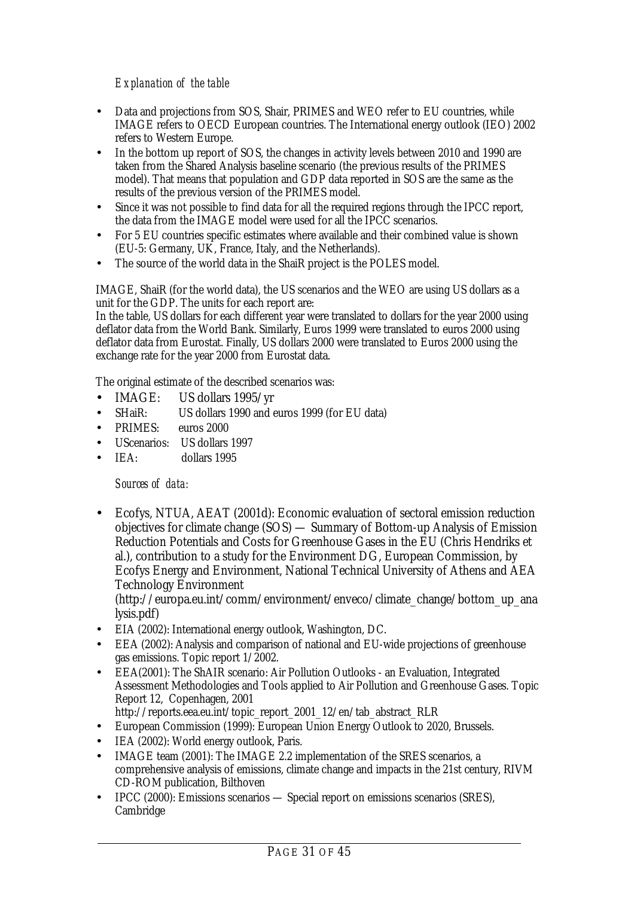## *Explanation of the table*

- Data and projections from SOS, Shair, PRIMES and WEO refer to EU countries, while IMAGE refers to OECD European countries. The International energy outlook (IEO) 2002 refers to Western Europe.
- In the bottom up report of SOS, the changes in activity levels between 2010 and 1990 are taken from the Shared Analysis baseline scenario (the previous results of the PRIMES model). That means that population and GDP data reported in SOS are the same as the results of the previous version of the PRIMES model.
- Since it was not possible to find data for all the required regions through the IPCC report, the data from the IMAGE model were used for all the IPCC scenarios.
- For 5 EU countries specific estimates where available and their combined value is shown (EU-5: Germany, UK, France, Italy, and the Netherlands).
- The source of the world data in the ShaiR project is the POLES model.

IMAGE, ShaiR (for the world data), the US scenarios and the WEO are using US dollars as a unit for the GDP. The units for each report are:

In the table, US dollars for each different year were translated to dollars for the year 2000 using deflator data from the World Bank. Similarly, Euros 1999 were translated to euros 2000 using deflator data from Eurostat. Finally, US dollars 2000 were translated to Euros 2000 using the exchange rate for the year 2000 from Eurostat data.

The original estimate of the described scenarios was:

- IMAGE: US dollars 1995/yr
- SHaiR: US dollars 1990 and euros 1999 (for EU data)
- PRIMES: euros 2000
- UScenarios: US dollars 1997
- IEA: dollars 1995

### *Sources of data:*

• Ecofys, NTUA, AEAT (2001d): Economic evaluation of sectoral emission reduction objectives for climate change (SOS) — Summary of Bottom-up Analysis of Emission Reduction Potentials and Costs for Greenhouse Gases in the EU (Chris Hendriks et al.), contribution to a study for the Environment DG, European Commission, by Ecofys Energy and Environment, National Technical University of Athens and AEA Technology Environment

(http://europa.eu.int/comm/environment/enveco/climate\_change/bottom\_up\_ana lysis.pdf)

- EIA (2002): International energy outlook, Washington, DC.
- EEA (2002): Analysis and comparison of national and EU-wide projections of greenhouse gas emissions. Topic report 1/2002.
- EEA(2001): The ShAIR scenario: Air Pollution Outlooks an Evaluation, Integrated Assessment Methodologies and Tools applied to Air Pollution and Greenhouse Gases. Topic Report 12, Copenhagen, 2001

http://reports.eea.eu.int/topic\_report\_2001\_12/en/tab\_abstract\_RLR

- European Commission (1999): European Union Energy Outlook to 2020, Brussels.
- IEA (2002): World energy outlook, Paris.
- IMAGE team (2001): The IMAGE 2.2 implementation of the SRES scenarios, a comprehensive analysis of emissions, climate change and impacts in the 21st century, RIVM CD-ROM publication, Bilthoven
- IPCC (2000): Emissions scenarios Special report on emissions scenarios (SRES), **Cambridge**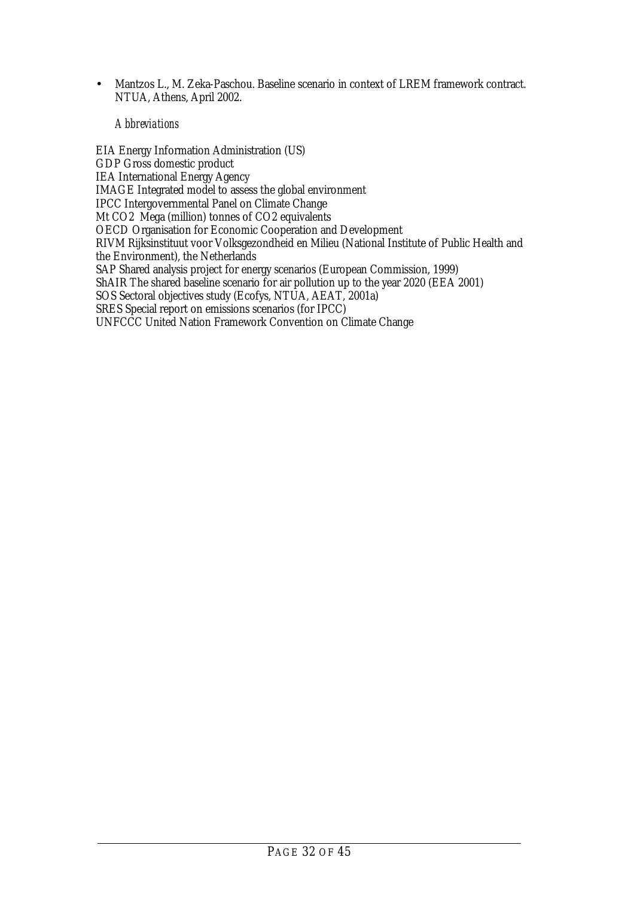• Mantzos L., M. Zeka-Paschou. Baseline scenario in context of LREM framework contract. NTUA, Athens, April 2002.

#### *Abbreviations*

EIA Energy Information Administration (US) GDP Gross domestic product IEA International Energy Agency IMAGE Integrated model to assess the global environment IPCC Intergovernmental Panel on Climate Change Mt CO2 Mega (million) tonnes of CO2 equivalents OECD Organisation for Economic Cooperation and Development RIVM Rijksinstituut voor Volksgezondheid en Milieu (National Institute of Public Health and the Environment), the Netherlands SAP Shared analysis project for energy scenarios (European Commission, 1999) ShAIR The shared baseline scenario for air pollution up to the year 2020 (EEA 2001) SOS Sectoral objectives study (Ecofys, NTUA, AEAT, 2001a) SRES Special report on emissions scenarios (for IPCC) UNFCCC United Nation Framework Convention on Climate Change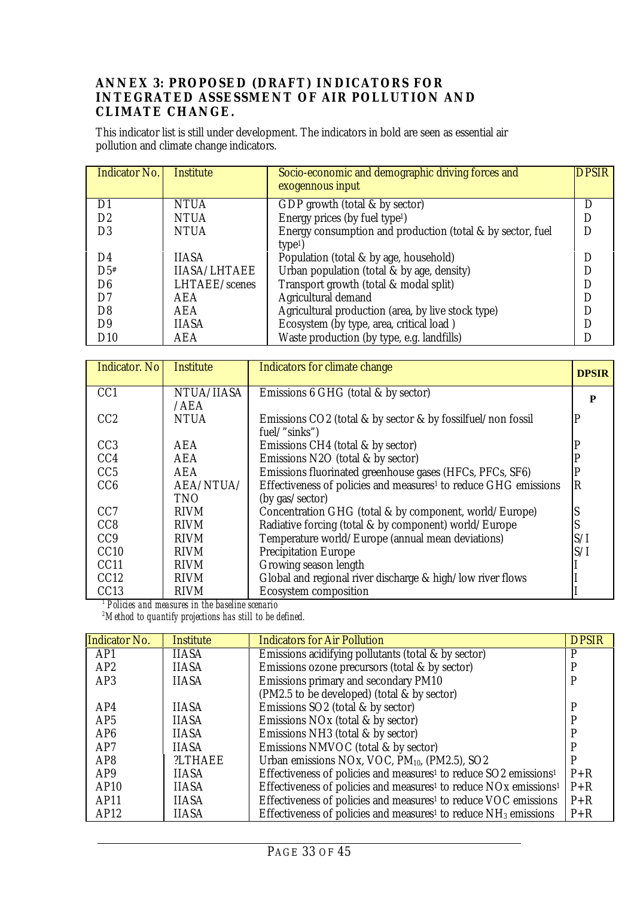### <span id="page-32-0"></span>**ANNEX 3: PROPOSED (DRAFT) INDICATORS FOR INTEGRATED ASSESSMENT OF AIR POLLUTION AND CLIMATE CHANGE.**

This indicator list is still under development. The indicators in bold are seen as essential air pollution and climate change indicators.

| <b>Indicator No.</b> | <b>Institute</b>     | Socio-economic and demographic driving forces and<br>exogennous input | <b>DPSIR</b> |
|----------------------|----------------------|-----------------------------------------------------------------------|--------------|
| D1                   | <b>NTUA</b>          | GDP growth (total $&$ by sector)                                      |              |
| D2                   | <b>NTUA</b>          | Energy prices (by fuel type <sup>1</sup> )                            |              |
| D <sub>3</sub>       | <b>NTUA</b>          | Energy consumption and production (total & by sector, fuel            |              |
|                      |                      | type <sup>1</sup>                                                     |              |
| D4                   | <b>IIASA</b>         | Population (total & by age, household)                                |              |
| $D5*$                | <b>IIASA/LHTAEE</b>  | Urban population (total & by age, density)                            |              |
| D <sub>6</sub>       | <b>LHTAEE/scenes</b> | Transport growth (total & modal split)                                |              |
| D7                   | AEA                  | Agricultural demand                                                   |              |
| D8                   | <b>AEA</b>           | Agricultural production (area, by live stock type)                    |              |
| D <sub>9</sub>       | <b>IIASA</b>         | Ecosystem (by type, area, critical load)                              |              |
| D10                  | AEA                  | Waste production (by type, e.g. landfills)                            |              |

| <b>Indicator</b> . No | <b>Institute</b> | Indicators for climate change                                               | <b>DPSIR</b>          |
|-----------------------|------------------|-----------------------------------------------------------------------------|-----------------------|
| CC <sub>1</sub>       | NTUA/IIASA       | Emissions 6 GHG (total & by sector)                                         | P                     |
|                       | /AEA             |                                                                             |                       |
| CC <sub>2</sub>       | <b>NTUA</b>      | Emissions CO2 (total & by sector & by fossilfuel/non fossil                 | D                     |
|                       |                  | fuel/"sinks")                                                               |                       |
| CC <sub>3</sub>       | AEA              | Emissions CH4 (total & by sector)                                           |                       |
| CC <sub>4</sub>       | AEA              | Emissions N2O (total & by sector)                                           |                       |
| CC5                   | <b>AEA</b>       | Emissions fluorinated greenhouse gases (HFCs, PFCs, SF6)                    |                       |
| CC6                   | AEA/NTUA/        | Effectiveness of policies and measures <sup>1</sup> to reduce GHG emissions | $\overline{\text{R}}$ |
|                       | TNO              | (by gas/sector)                                                             |                       |
| CC <sub>7</sub>       | <b>RIVM</b>      | Concentration GHG (total $\&$ by component, world/Europe)                   |                       |
| CC <sub>8</sub>       | <b>RIVM</b>      | Radiative forcing (total & by component) world/Europe                       |                       |
| CC <sub>9</sub>       | <b>RIVM</b>      | Temperature world/Europe (annual mean deviations)                           | S/I                   |
| CC10                  | <b>RIVM</b>      | <b>Precipitation Europe</b>                                                 | S/I                   |
| CC11                  | <b>RIVM</b>      | Growing season length                                                       |                       |
| CC12                  | <b>RIVM</b>      | Global and regional river discharge & high/low river flows                  |                       |
| CC <sub>13</sub>      | <b>RIVM</b>      | <b>Ecosystem composition</b>                                                |                       |

*1 Policies and measures in the baseline scenario 2 Method to quantify projections has still to be defined.*

| <b>Indicator No.</b> | Institute    | <b>Indicators for Air Pollution</b>                                                      | <b>DPSIR</b> |
|----------------------|--------------|------------------------------------------------------------------------------------------|--------------|
| AP1                  | <b>IIASA</b> | Emissions acidifying pollutants (total & by sector)                                      | D            |
| AP2                  | <b>IIASA</b> | Emissions ozone precursors (total & by sector)                                           |              |
| AP3                  | <b>IIASA</b> | Emissions primary and secondary PM10                                                     |              |
|                      |              | (PM2.5 to be developed) (total & by sector)                                              |              |
| AP4                  | <b>IIASA</b> | Emissions SO2 (total & by sector)                                                        |              |
| AP5                  | <b>IIASA</b> | Emissions NO <sub>x</sub> (total & by sector)                                            |              |
| AP <sub>6</sub>      | <b>IIASA</b> | Emissions NH3 (total & by sector)                                                        |              |
| AP <sub>7</sub>      | <b>IIASA</b> | Emissions NMVOC (total & by sector)                                                      |              |
| AP <sub>8</sub>      | ?LTHAEE      | Urban emissions NOx, VOC, $PM_{10}$ , (PM2.5), SO2                                       | P            |
| AP <sub>9</sub>      | <b>IIASA</b> | Effectiveness of policies and measures <sup>1</sup> to reduce SO2 emissions <sup>1</sup> | $P+R$        |
| AP10                 | <b>IIASA</b> | Effectiveness of policies and measures <sup>1</sup> to reduce NOx emissions <sup>1</sup> | $P + R$      |
| AP11                 | <b>IIASA</b> | Effectiveness of policies and measures <sup>1</sup> to reduce VOC emissions              | $P + R$      |
| AP12                 | <b>IIASA</b> | Effectiveness of policies and measures <sup>1</sup> to reduce $NH3$ emissions            | $P + R$      |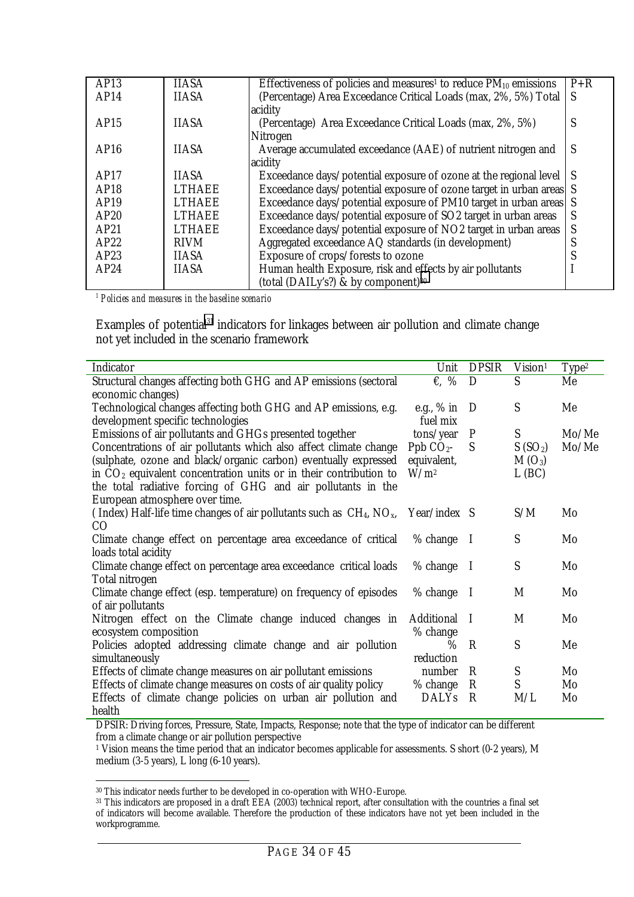| AP13 | <b>IIASA</b>  | Effectiveness of policies and measures <sup>1</sup> to reduce $PM_{10}$ emissions | $P + R$      |
|------|---------------|-----------------------------------------------------------------------------------|--------------|
| AP14 | <b>IIASA</b>  | (Percentage) Area Exceedance Critical Loads (max, 2%, 5%) Total                   | S            |
|      |               | acidity                                                                           |              |
| AP15 | <b>IIASA</b>  | (Percentage) Area Exceedance Critical Loads (max, 2%, 5%)                         | S            |
|      |               | Nitrogen                                                                          |              |
| AP16 | <b>IIASA</b>  | Average accumulated exceedance (AAE) of nutrient nitrogen and                     | S            |
|      |               | acidity                                                                           |              |
| AP17 | <b>IIASA</b>  | Exceedance days/potential exposure of ozone at the regional level                 | <sub>S</sub> |
| AP18 | <b>LTHAEE</b> | Exceedance days/potential exposure of ozone target in urban areas S               |              |
| AP19 | <b>LTHAEE</b> | Exceedance days/potential exposure of PM10 target in urban areas                  | S            |
| AP20 | <b>LTHAEE</b> | Exceedance days/potential exposure of SO2 target in urban areas                   | S            |
| AP21 | <b>LTHAEE</b> | Exceedance days/potential exposure of NO2 target in urban areas                   | S            |
| AP22 | <b>RIVM</b>   | Aggregated exceedance AQ standards (in development)                               | C            |
| AP23 | <b>IIASA</b>  | Exposure of crops/forests to ozone                                                |              |
| AP24 | <b>IIASA</b>  | Human health Exposure, risk and effects by air pollutants                         |              |
|      |               | (total (DAILy's?) & by component) <sup>30</sup>                                   |              |
|      |               |                                                                                   |              |

*1 Policies and measures in the baseline scenario*

Examples of potential<sup>31</sup> indicators for linkages between air pollution and climate change not yet included in the scenario framework

| Mo/Me |
|-------|
| Mo/Me |
|       |
|       |
|       |
|       |
|       |
|       |
|       |
|       |
|       |
|       |
|       |
|       |
|       |
|       |
|       |
|       |
|       |
|       |
|       |
|       |

DPSIR: Driving forces, Pressure, State, Impacts, Response; note that the type of indicator can be different from a climate change or air pollution perspective

1 Vision means the time period that an indicator becomes applicable for assessments. S short (0-2 years), M medium (3-5 years), L long (6-10 years).

 $\ddot{\phantom{a}}$ 30 This indicator needs further to be developed in co-operation with WHO-Europe.

 $31$  This indicators are proposed in a draft EEA (2003) technical report, after consultation with the countries a final set of indicators will become available. Therefore the production of these indicators have not yet been included in the workprogramme.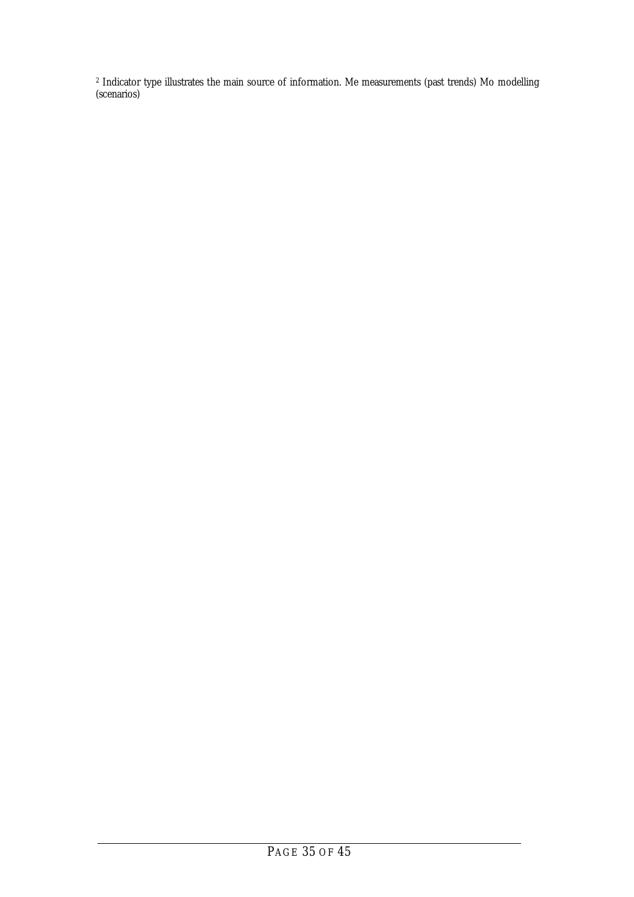2 Indicator type illustrates the main source of information. Me measurements (past trends) Mo modelling (scenarios)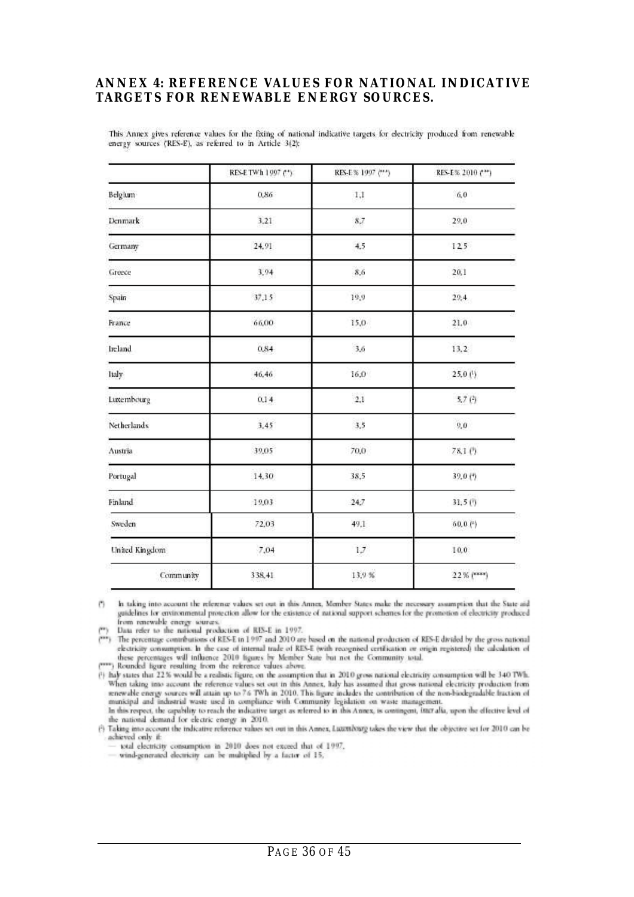### <span id="page-35-0"></span>**ANNEX 4: REFERENCE VALUES FOR NATIONAL INDICATIVE TARGETS FOR RENEWABLE ENERGY SOURCES.**

This Annex gives reference values for the fixing of national indicative targets for electricity produced from renewable energy sources ('RES-E'), as referred to in Article 3(2):

|                | RES-E TWh 1997 (*) | RES-E % 1997 (***) | RES-E% 2010 (***) |  |
|----------------|--------------------|--------------------|-------------------|--|
| Belgium        | 0,86               | 1,1                | 6,0               |  |
| Denmark        | 3,21               | 8,7                | 29,0              |  |
| Germany        | 24,91              | 4.5                | 125               |  |
| Greece         | 3.94               | 8.6                | 20.1              |  |
| Spain          | 37,15              | 19,9               | 29.4              |  |
| France         | 66,00              | 15,0               | 21.0              |  |
| Ireland        | 0,84               | 3.6                | 13,2              |  |
| Italy          | 46,46              | 16,0               | 25.0(1)           |  |
| Luxembourg     | 0,14               | 2,1                | 5.7(3)            |  |
| Netherlands    | 3,45               | 3,5                | 9,0               |  |
| Austria        | 39,05              | 70.0               | 78.1 (?)          |  |
| Portugal       | 14,30              | 38.5               | 39.0 (*)          |  |
| Finland        | 19.03              | 24.7               | 31,5(!)           |  |
| Sweden         | 72,03              | 49,1               | $60,0$ ( $^{a}$ ) |  |
| United Kingdom | 7,04               | $1.7\,$            | 10,0              |  |
| Community      | 338,41             | 13.9 %             | 22% (****)        |  |

In taking into account the reference values set out in this Annex, Member-States make the necessary assumption that the State aid  $(1)$ guidelines for environmental protection allow for the existence of national support schemes for the promotion of electricity produced from renewable energy sources.

Data refer to the national production of RES-E in 1997.

The percentage contributions of RES-E tn 1997 and 2010 are based on the national production of RES-E divided by the gross national electricity consumption. In the case of internal trade of RES-E (with recognised certification or origin registered) the calculation of these percentages will influence 2010 figures by Member State but not the Community total.<br>(\*\*\*) Rounded figure resulting from the reference values above.<br>(\*) haly states that 22% would be a realistic figure, on the assump

When taking into account the reference values set out in this Annex, haly has assumed that gross national electricity production from renewable energy sources will attain up to 7.6 TWh in 2010. This figure includes the contribution of the non-biodegradable fraction of municipal and industrial waste used in compliance with Community legislation on waste management.

In this respect, the capability to reach the indicative target as referred to in this Annex, is contingent, interalia, upon the effective level of the national demand for electric energy in 2010.

(3) Taking into account the indicative reference values set out in this Annex, Lutattiburg takes the view that the objective set for 2010 can be achieved only if:

total electricity consumption in 2010 does not exceed that of 1997,

wind-generated electricity can be multiplied by a factor of 15,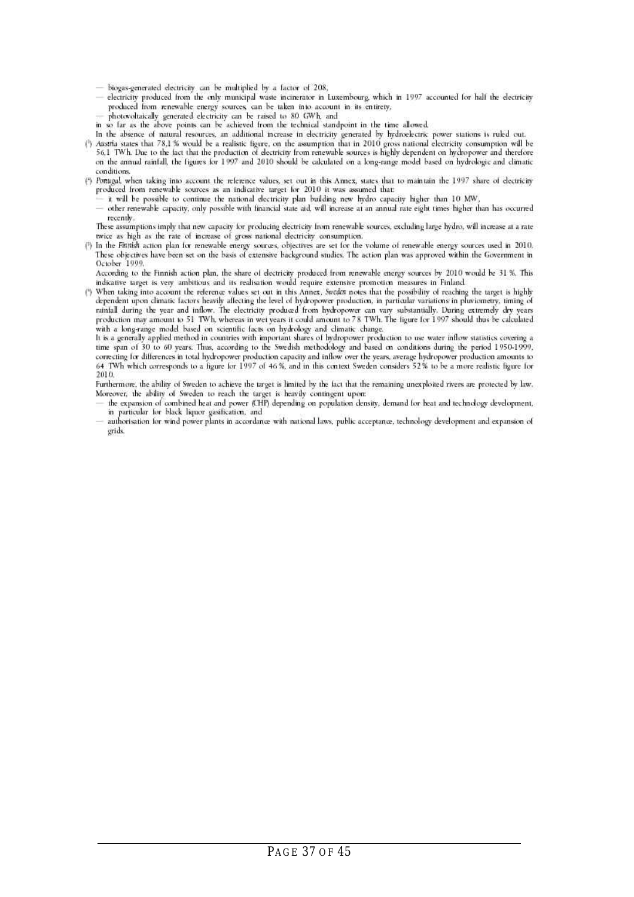- biogas-generated electricity can be multiplied by a factor of 208,
- electricity produced from the only municipal waste incinerator in Luxembourg, which in 1997 accounted for half the electricity produced from renewable energy sources, can be taken into account in its entirety,
- photovoltaically generated electricity can be raised to 80 GWh, and
- in so far as the above points can be achieved from the technical standpoint in the time allowed.
- In the absence of natural resources, an additional increase in electricity generated by hydroelectric power stations is ruled out.
- (1) Austria states that 78,1 % would be a realistic figure, on the assumption that in 2010 gross national electricity consumption will be 56.1 TWh. Due to the lact that the production of electricity from renewable sources is highly dependent on hydropower and therefore on the annual rainfall, the figures for 1997 and 2010 should be calculated on a long-range model based on hydrologic and climatic conditions.
- (\*) Pontgal, when taking into account the reference values, set out in this Amex, states that to maintain the 1997 share of electricity produced from renewable sources as an indicative target for 2010 it was assumed that:
	- it will be possible to continue the national electricity plan building new hydro capacity higher than 10 MW,
	- other renewable capacity, only possible with financial state aid, will increase at an annual rate eight times higher than has occurred recently.

These assumptions imply that new capacity for producing electricity from renewable sources, excluding large hydro, will increase at a rate twice as high as the rate of increase of gross national electricity consumption.

(?) In the Fittrish action plan for renewable energy sources, objectives are set for the volume of renewable energy sources used in 2010. These objectives have been set on the basis of extensive background studies. The action plan was approved within the Government in October 1999.

According to the Finnish action plan, the share of electricity produced from renewable energy sources by 2010 would be 31 %. This indicative target is very ambitious and its realisation would require extensive promotion measures in Finland.

(\*) When taking into account the reference values set out in this Annex, Sweden notes that the possibility of reaching the target is highly dependent upon climatic factors heavily affecting the level of hydropower production, in particular variations in pluviometry, timing of rainfall during the year and inflow. The electricity produced from hydropower can vary substantially. During extremely dry years production may amount to 51 TWh, whereas in wet years it could amount to 78 TWh. The figure for 1997 should thus be calculated with a long-range model based on scientific facts on hydrology and climatic change.

It is a generally applied method in countries with important shares of hydropower production to use water inflow statistics covering a time span of 30 to 60 years. Thus, according to the Swedish methodology and based on conditions during the period 1950-1999, correcting for differences in total hydropower production capacity and inflow over the years, average hydropower production amounts to 64 TWh which corresponds to a figure for 1997 of 46%, and in this context Sweden considers 52% to be a more realistic figure for 2010.

Furthermore, the ability of Sweden to achieve the target is limited by the fact that the remaining unexploited rivers are protected by law. Moreover, the ability of Sweden to reach the target is heavily contingent upon:

- the expansion of combined heat and power (CHP) depending on population density, demand for heat and technology development, in particular for black liquor gasification, and
- authorisation for wind power plants in accordance with national laws, public acceptance, technology development and expansion of orids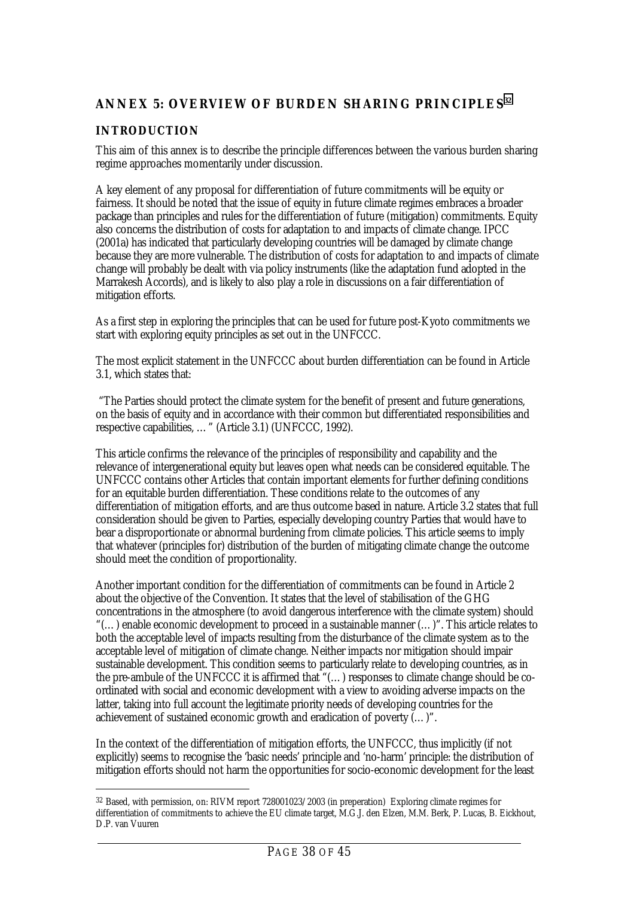# <span id="page-37-0"></span>**ANNEX 5: OVERVIEW OF BURDEN SHARING PRINCIPLES**<sup>32</sup>

### **INTRODUCTION**

 $\ddot{\phantom{a}}$ 

This aim of this annex is to describe the principle differences between the various burden sharing regime approaches momentarily under discussion.

A key element of any proposal for differentiation of future commitments will be equity or fairness. It should be noted that the issue of equity in future climate regimes embraces a broader package than principles and rules for the differentiation of future (mitigation) commitments. Equity also concerns the distribution of costs for adaptation to and impacts of climate change. IPCC (2001a) has indicated that particularly developing countries will be damaged by climate change because they are more vulnerable. The distribution of costs for adaptation to and impacts of climate change will probably be dealt with via policy instruments (like the adaptation fund adopted in the Marrakesh Accords), and is likely to also play a role in discussions on a fair differentiation of mitigation efforts.

As a first step in exploring the principles that can be used for future post-Kyoto commitments we start with exploring equity principles as set out in the UNFCCC.

The most explicit statement in the UNFCCC about burden differentiation can be found in Article 3.1, which states that:

 "The Parties should protect the climate system for the benefit of present and future generations, on the basis of equity and in accordance with their common but differentiated responsibilities and respective capabilities, …" (Article 3.1) (UNFCCC, 1992).

This article confirms the relevance of the principles of responsibility and capability and the relevance of intergenerational equity but leaves open what needs can be considered equitable. The UNFCCC contains other Articles that contain important elements for further defining conditions for an equitable burden differentiation. These conditions relate to the outcomes of any differentiation of mitigation efforts, and are thus outcome based in nature. Article 3.2 states that full consideration should be given to Parties, especially developing country Parties that would have to bear a disproportionate or abnormal burdening from climate policies. This article seems to imply that whatever (principles for) distribution of the burden of mitigating climate change the outcome should meet the condition of proportionality.

Another important condition for the differentiation of commitments can be found in Article 2 about the objective of the Convention. It states that the level of stabilisation of the GHG concentrations in the atmosphere (to avoid dangerous interference with the climate system) should "(…) enable economic development to proceed in a sustainable manner (…)". This article relates to both the acceptable level of impacts resulting from the disturbance of the climate system as to the acceptable level of mitigation of climate change. Neither impacts nor mitigation should impair sustainable development. This condition seems to particularly relate to developing countries, as in the pre-ambule of the UNFCCC it is affirmed that "(…) responses to climate change should be coordinated with social and economic development with a view to avoiding adverse impacts on the latter, taking into full account the legitimate priority needs of developing countries for the achievement of sustained economic growth and eradication of poverty (…)".

In the context of the differentiation of mitigation efforts, the UNFCCC, thus implicitly (if not explicitly) seems to recognise the 'basic needs' principle and 'no-harm' principle: the distribution of mitigation efforts should not harm the opportunities for socio-economic development for the least

<sup>32</sup> Based, with permission, on: RIVM report 728001023/2003 (in preperation) Exploring climate regimes for differentiation of commitments to achieve the EU climate target, M.G.J. den Elzen, M.M. Berk, P. Lucas, B. Eickhout, D.P. van Vuuren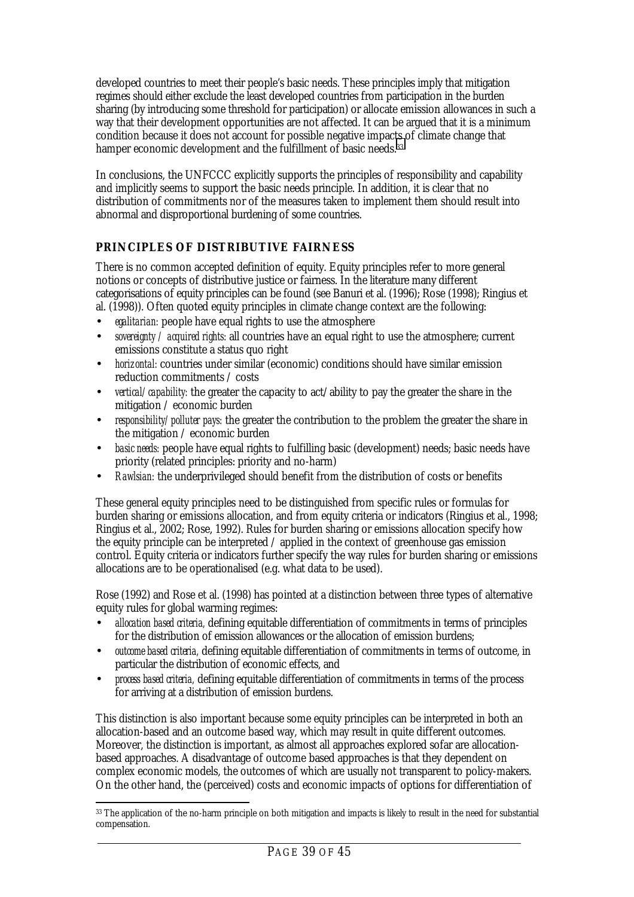<span id="page-38-0"></span>developed countries to meet their people's basic needs. These principles imply that mitigation regimes should either exclude the least developed countries from participation in the burden sharing (by introducing some threshold for participation) or allocate emission allowances in such a way that their development opportunities are not affected. It can be argued that it is a minimum condition because it does not account for possible negative impacts of climate change that hamper economic development and the fulfillment of basic needs.<sup>33</sup>

In conclusions, the UNFCCC explicitly supports the principles of responsibility and capability and implicitly seems to support the basic needs principle. In addition, it is clear that no distribution of commitments nor of the measures taken to implement them should result into abnormal and disproportional burdening of some countries.

# **PRINCIPLES OF DISTRIBUTIVE FAIRNESS**

There is no common accepted definition of equity. Equity principles refer to more general notions or concepts of distributive justice or fairness. In the literature many different categorisations of equity principles can be found (see Banuri et al. (1996); Rose (1998); Ringius et al. (1998)). Often quoted equity principles in climate change context are the following:

- *egalitarian:* people have equal rights to use the atmosphere
- *sovereignty / acquired rights:* all countries have an equal right to use the atmosphere; current emissions constitute a status quo right
- *horizontal:* countries under similar (economic) conditions should have similar emission reduction commitments / costs
- *vertical/capability:* the greater the capacity to act/ability to pay the greater the share in the mitigation / economic burden
- *responsibility/polluter pays:* the greater the contribution to the problem the greater the share in the mitigation / economic burden
- *basic needs:* people have equal rights to fulfilling basic (development) needs; basic needs have priority (related principles: priority and no-harm)
- *Rawlsian:* the underprivileged should benefit from the distribution of costs or benefits

These general equity principles need to be distinguished from specific rules or formulas for burden sharing or emissions allocation, and from equity criteria or indicators (Ringius et al., 1998; Ringius et al., 2002; Rose, 1992). Rules for burden sharing or emissions allocation specify how the equity principle can be interpreted / applied in the context of greenhouse gas emission control. Equity criteria or indicators further specify the way rules for burden sharing or emissions allocations are to be operationalised (e.g. what data to be used).

Rose (1992) and Rose et al. (1998) has pointed at a distinction between three types of alternative equity rules for global warming regimes:

- *allocation based criteria,* defining equitable differentiation of commitments in terms of principles for the distribution of emission allowances or the allocation of emission burdens;
- *outcome based criteria,* defining equitable differentiation of commitments in terms of outcome, in particular the distribution of economic effects, and
- *process based criteria,* defining equitable differentiation of commitments in terms of the process for arriving at a distribution of emission burdens.

This distinction is also important because some equity principles can be interpreted in both an allocation-based and an outcome based way, which may result in quite different outcomes. Moreover, the distinction is important, as almost all approaches explored sofar are allocationbased approaches. A disadvantage of outcome based approaches is that they dependent on complex economic models, the outcomes of which are usually not transparent to policy-makers. On the other hand, the (perceived) costs and economic impacts of options for differentiation of

 $\ddot{\phantom{a}}$ <sup>33</sup> The application of the no-harm principle on both mitigation and impacts is likely to result in the need for substantial compensation.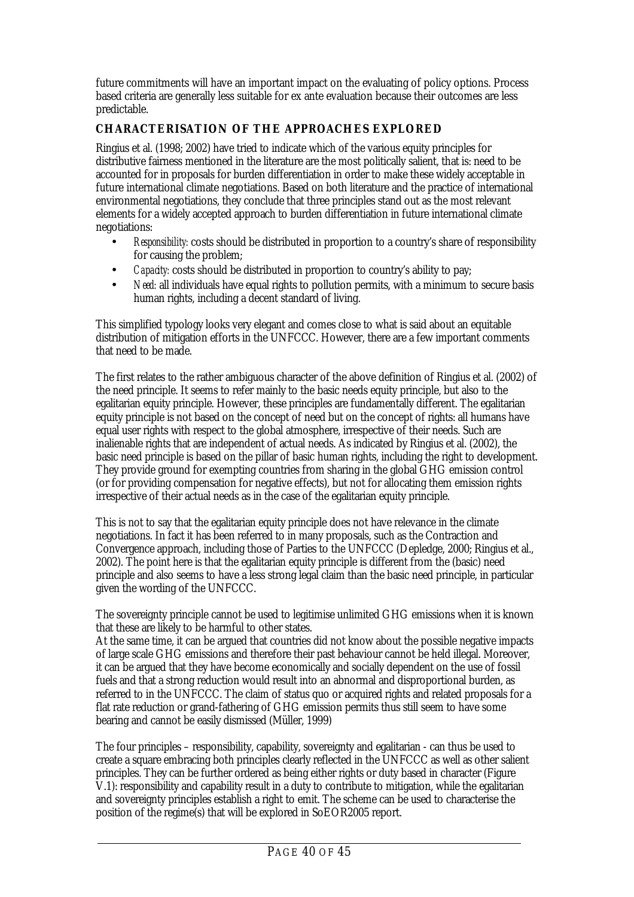<span id="page-39-0"></span>future commitments will have an important impact on the evaluating of policy options. Process based criteria are generally less suitable for ex ante evaluation because their outcomes are less predictable.

# **CHARACTERISATION OF THE APPROACHES EXPLORED**

Ringius et al. (1998; 2002) have tried to indicate which of the various equity principles for distributive fairness mentioned in the literature are the most politically salient, that is: need to be accounted for in proposals for burden differentiation in order to make these widely acceptable in future international climate negotiations. Based on both literature and the practice of international environmental negotiations, they conclude that three principles stand out as the most relevant elements for a widely accepted approach to burden differentiation in future international climate negotiations:

- *Responsibility:* costs should be distributed in proportion to a country's share of responsibility for causing the problem;
- *Capacity:* costs should be distributed in proportion to country's ability to pay;
- *Need:* all individuals have equal rights to pollution permits, with a minimum to secure basis human rights, including a decent standard of living.

This simplified typology looks very elegant and comes close to what is said about an equitable distribution of mitigation efforts in the UNFCCC. However, there are a few important comments that need to be made.

The first relates to the rather ambiguous character of the above definition of Ringius et al. (2002) of the need principle. It seems to refer mainly to the basic needs equity principle, but also to the egalitarian equity principle. However, these principles are fundamentally different. The egalitarian equity principle is not based on the concept of need but on the concept of rights: all humans have equal user rights with respect to the global atmosphere, irrespective of their needs. Such are inalienable rights that are independent of actual needs. As indicated by Ringius et al. (2002), the basic need principle is based on the pillar of basic human rights, including the right to development. They provide ground for exempting countries from sharing in the global GHG emission control (or for providing compensation for negative effects), but not for allocating them emission rights irrespective of their actual needs as in the case of the egalitarian equity principle.

This is not to say that the egalitarian equity principle does not have relevance in the climate negotiations. In fact it has been referred to in many proposals, such as the Contraction and Convergence approach, including those of Parties to the UNFCCC (Depledge, 2000; Ringius et al., 2002). The point here is that the egalitarian equity principle is different from the (basic) need principle and also seems to have a less strong legal claim than the basic need principle, in particular given the wording of the UNFCCC.

The sovereignty principle cannot be used to legitimise unlimited GHG emissions when it is known that these are likely to be harmful to other states.

At the same time, it can be argued that countries did not know about the possible negative impacts of large scale GHG emissions and therefore their past behaviour cannot be held illegal. Moreover, it can be argued that they have become economically and socially dependent on the use of fossil fuels and that a strong reduction would result into an abnormal and disproportional burden, as referred to in the UNFCCC. The claim of status quo or acquired rights and related proposals for a flat rate reduction or grand-fathering of GHG emission permits thus still seem to have some bearing and cannot be easily dismissed (Müller, 1999)

The four principles – responsibility, capability, sovereignty and egalitarian - can thus be used to create a square embracing both principles clearly reflected in the UNFCCC as well as other salient principles. They can be further ordered as being either rights or duty based in character (Figure V.1): responsibility and capability result in a duty to contribute to mitigation, while the egalitarian and sovereignty principles establish a right to emit. The scheme can be used to characterise the position of the regime(s) that will be explored in SoEOR2005 report.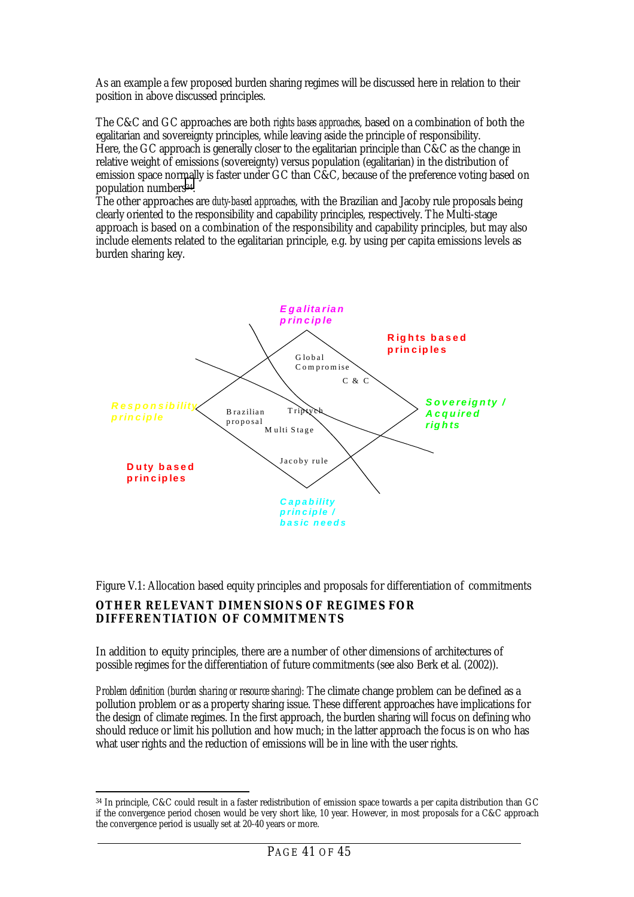<span id="page-40-0"></span>As an example a few proposed burden sharing regimes will be discussed here in relation to their position in above discussed principles.

The C&C and GC approaches are both *rights bases approaches*, based on a combination of both the egalitarian and sovereignty principles, while leaving aside the principle of responsibility. Here, the GC approach is generally closer to the egalitarian principle than C&C as the change in relative weight of emissions (sovereignty) versus population (egalitarian) in the distribution of emission space normally is faster under GC than C&C, because of the preference voting based on population numbers<sup>34</sup>.

The other approaches are *duty-based approaches*, with the Brazilian and Jacoby rule proposals being clearly oriented to the responsibility and capability principles, respectively. The Multi-stage approach is based on a combination of the responsibility and capability principles, but may also include elements related to the egalitarian principle, e.g. by using per capita emissions levels as burden sharing key.



Figure V.1: Allocation based equity principles and proposals for differentiation of commitments

### **OTHER RELEVANT DIMENSIONS OF REGIMES FOR DIFFERENTIATION OF COMMITMENTS**

In addition to equity principles, there are a number of other dimensions of architectures of possible regimes for the differentiation of future commitments (see also Berk et al. (2002)).

*Problem definition (burden sharing or resource sharing):* The climate change problem can be defined as a pollution problem or as a property sharing issue. These different approaches have implications for the design of climate regimes. In the first approach, the burden sharing will focus on defining who should reduce or limit his pollution and how much; in the latter approach the focus is on who has what user rights and the reduction of emissions will be in line with the user rights.

 $\overline{a}$  $^\mathrm{34}$  In principle, C&C could result in a faster redistribution of emission space towards a per capita distribution than GC if the convergence period chosen would be very short like, 10 year. However, in most proposals for a C&C approach the convergence period is usually set at 20-40 years or more.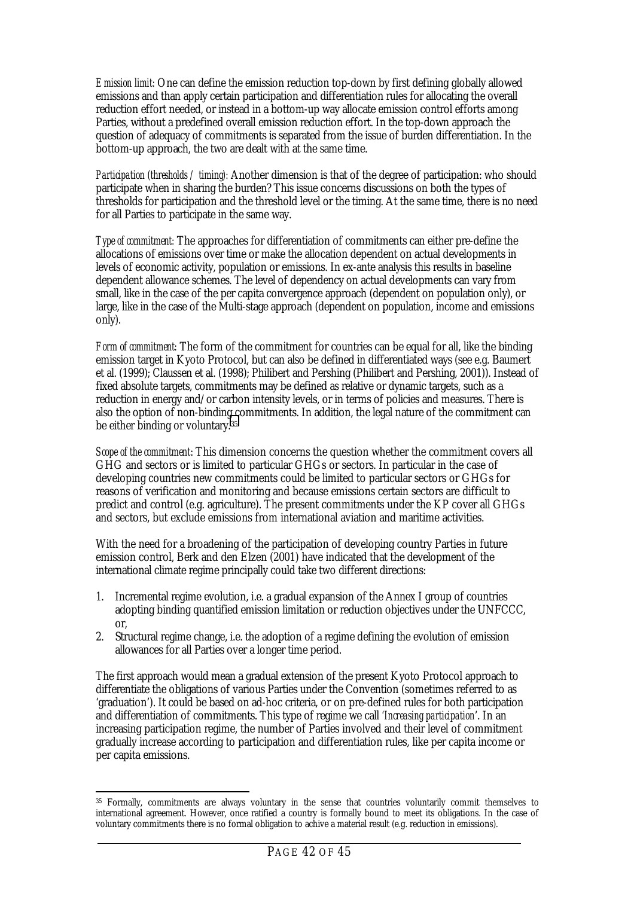*Emission limit:* One can define the emission reduction top-down by first defining globally allowed emissions and than apply certain participation and differentiation rules for allocating the overall reduction effort needed, or instead in a bottom-up way allocate emission control efforts among Parties, without a predefined overall emission reduction effort. In the top-down approach the question of adequacy of commitments is separated from the issue of burden differentiation. In the bottom-up approach, the two are dealt with at the same time.

*Participation (thresholds / timing):* Another dimension is that of the degree of participation: who should participate when in sharing the burden? This issue concerns discussions on both the types of thresholds for participation and the threshold level or the timing. At the same time, there is no need for all Parties to participate in the same way.

*Type of commitment:* The approaches for differentiation of commitments can either pre-define the allocations of emissions over time or make the allocation dependent on actual developments in levels of economic activity, population or emissions. In ex-ante analysis this results in baseline dependent allowance schemes. The level of dependency on actual developments can vary from small, like in the case of the per capita convergence approach (dependent on population only), or large, like in the case of the Multi-stage approach (dependent on population, income and emissions only).

*Form of commitment:* The form of the commitment for countries can be equal for all, like the binding emission target in Kyoto Protocol, but can also be defined in differentiated ways (see e.g. Baumert et al. (1999); Claussen et al. (1998); Philibert and Pershing (Philibert and Pershing, 2001)). Instead of fixed absolute targets, commitments may be defined as relative or dynamic targets, such as a reduction in energy and/or carbon intensity levels, or in terms of policies and measures. There is also the option of non-binding commitments. In addition, the legal nature of the commitment can be either binding or voluntary.35

*Scope of the commitment*: This dimension concerns the question whether the commitment covers all GHG and sectors or is limited to particular GHGs or sectors. In particular in the case of developing countries new commitments could be limited to particular sectors or GHGs for reasons of verification and monitoring and because emissions certain sectors are difficult to predict and control (e.g. agriculture). The present commitments under the KP cover all GHGs and sectors, but exclude emissions from international aviation and maritime activities.

With the need for a broadening of the participation of developing country Parties in future emission control, Berk and den Elzen (2001) have indicated that the development of the international climate regime principally could take two different directions:

- 1. Incremental regime evolution, i.e. a gradual expansion of the Annex I group of countries adopting binding quantified emission limitation or reduction objectives under the UNFCCC, or,
- 2. Structural regime change, i.e. the adoption of a regime defining the evolution of emission allowances for all Parties over a longer time period.

The first approach would mean a gradual extension of the present Kyoto Protocol approach to differentiate the obligations of various Parties under the Convention (sometimes referred to as 'graduation'). It could be based on ad-hoc criteria, or on pre-defined rules for both participation and differentiation of commitments. This type of regime we call *'Increasing participation*'. In an increasing participation regime, the number of Parties involved and their level of commitment gradually increase according to participation and differentiation rules, like per capita income or per capita emissions.

 $\overline{a}$ 35 Formally, commitments are always voluntary in the sense that countries voluntarily commit themselves to international agreement. However, once ratified a country is formally bound to meet its obligations. In the case of voluntary commitments there is no formal obligation to achive a material result (e.g. reduction in emissions).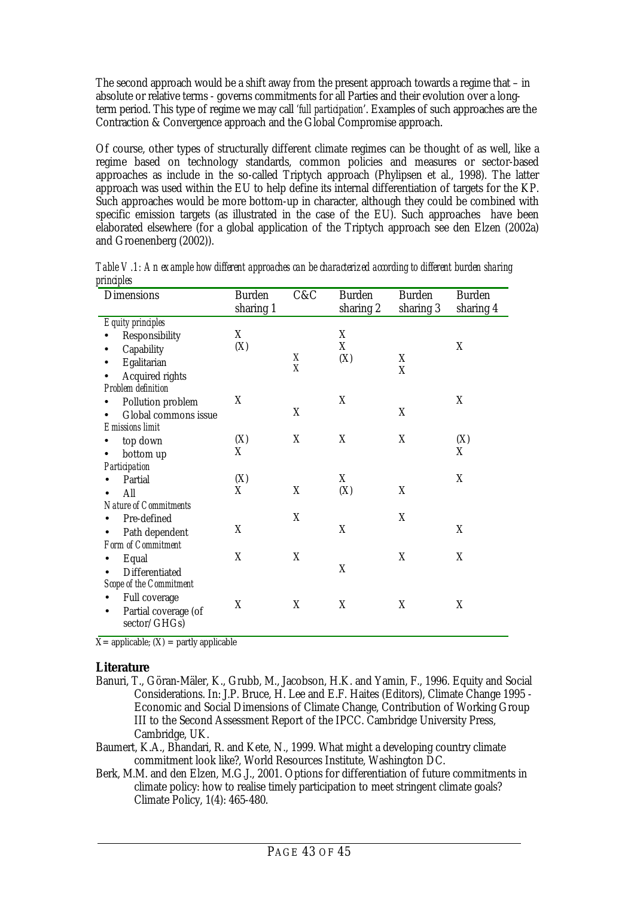The second approach would be a shift away from the present approach towards a regime that – in absolute or relative terms - governs commitments for all Parties and their evolution over a longterm period. This type of regime we may call *'full participation*'. Examples of such approaches are the Contraction & Convergence approach and the Global Compromise approach.

Of course, other types of structurally different climate regimes can be thought of as well, like a regime based on technology standards, common policies and measures or sector-based approaches as include in the so-called Triptych approach (Phylipsen et al., 1998). The latter approach was used within the EU to help define its internal differentiation of targets for the KP. Such approaches would be more bottom-up in character, although they could be combined with specific emission targets (as illustrated in the case of the EU). Such approaches have been elaborated elsewhere (for a global application of the Triptych approach see den Elzen (2002a) and Groenenberg (2002)).

| <b>Dimensions</b>              | <b>Burden</b><br>sharing 1 | C&C | <b>Burden</b><br>sharing 2 | <b>Burden</b><br>sharing 3 | <b>Burden</b><br>sharing 4 |
|--------------------------------|----------------------------|-----|----------------------------|----------------------------|----------------------------|
| <b>Equity principles</b>       |                            |     |                            |                            |                            |
| Responsibility                 | X                          |     | X                          |                            |                            |
| Capability                     | (X)                        |     | X                          |                            | X                          |
| Egalitarian                    |                            | X   | (X)                        | X                          |                            |
| <b>Acquired rights</b>         |                            | X   |                            | X                          |                            |
| <b>Problem definition</b>      |                            |     |                            |                            |                            |
| <b>Pollution problem</b>       | X                          |     | X                          |                            | X                          |
| Global commons issue           |                            | X   |                            | X                          |                            |
| <b>Emissions limit</b>         |                            |     |                            |                            |                            |
| top down                       | (X)                        | X   | X                          | X                          | (X)                        |
| bottom up                      | X                          |     |                            |                            | X                          |
| Participation                  |                            |     |                            |                            |                            |
| Partial                        | (X)                        |     | X                          |                            | X                          |
| All                            | X                          | X   | (X)                        | X                          |                            |
| <b>Nature of Commitments</b>   |                            |     |                            |                            |                            |
| Pre-defined                    |                            | X   |                            | X                          |                            |
| Path dependent                 | X                          |     | X                          |                            | X                          |
| <b>Form of Commitment</b>      |                            |     |                            |                            |                            |
| Equal                          | X                          | X   |                            | X                          | X                          |
| Differentiated                 |                            |     | X                          |                            |                            |
| <b>Scope of the Commitment</b> |                            |     |                            |                            |                            |
| <b>Full coverage</b>           |                            |     |                            |                            |                            |
| Partial coverage (of           | X                          | X   | X                          | X                          | X                          |
| sector/GHGs)                   |                            |     |                            |                            |                            |
|                                |                            |     |                            |                            |                            |

*Table V.1: An example how different approaches can be characterized according to different burden sharing principles*

 $X=$  applicable;  $(X) =$  partly applicable

#### **Literature**

- Banuri, T., Göran-Mäler, K., Grubb, M., Jacobson, H.K. and Yamin, F., 1996. Equity and Social Considerations. In: J.P. Bruce, H. Lee and E.F. Haites (Editors), Climate Change 1995 - Economic and Social Dimensions of Climate Change, Contribution of Working Group III to the Second Assessment Report of the IPCC. Cambridge University Press, Cambridge, UK.
- Baumert, K.A., Bhandari, R. and Kete, N., 1999. What might a developing country climate commitment look like?, World Resources Institute, Washington DC.
- Berk, M.M. and den Elzen, M.G.J., 2001. Options for differentiation of future commitments in climate policy: how to realise timely participation to meet stringent climate goals? Climate Policy, 1(4): 465-480.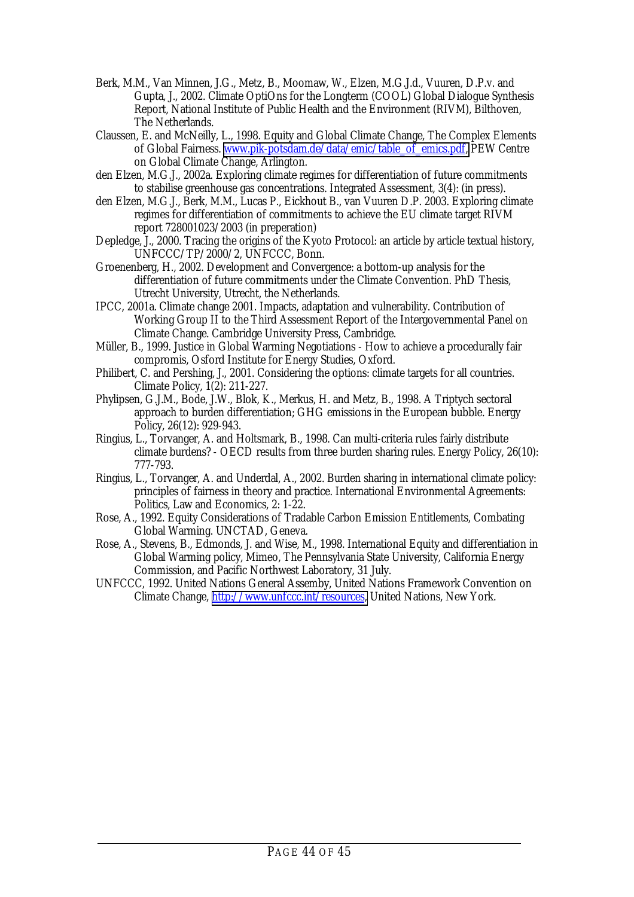- Berk, M.M., Van Minnen, J.G., Metz, B., Moomaw, W., Elzen, M.G.J.d., Vuuren, D.P.v. and Gupta, J., 2002. Climate OptiOns for the Longterm (COOL) Global Dialogue Synthesis Report, National Institute of Public Health and the Environment (RIVM), Bilthoven, The Netherlands.
- Claussen, E. and McNeilly, L., 1998. Equity and Global Climate Change, The Complex Elements of Global Fairness. [www.pik-potsdam.de/data/emic/table\\_of\\_emics.pdf,](http://www.pik-potsdam.de/data/emic/table_of_emics.pdf) PEW Centre on Global Climate Change, Arlington.
- den Elzen, M.G.J., 2002a. Exploring climate regimes for differentiation of future commitments to stabilise greenhouse gas concentrations. Integrated Assessment, 3(4): (in press).
- den Elzen, M.G.J., Berk, M.M., Lucas P., Eickhout B., van Vuuren D.P. 2003. Exploring climate regimes for differentiation of commitments to achieve the EU climate target RIVM report 728001023/2003 (in preperation)
- Depledge, J., 2000. Tracing the origins of the Kyoto Protocol: an article by article textual history, UNFCCC/TP/2000/2, UNFCCC, Bonn.
- Groenenberg, H., 2002. Development and Convergence: a bottom-up analysis for the differentiation of future commitments under the Climate Convention. PhD Thesis, Utrecht University, Utrecht, the Netherlands.
- IPCC, 2001a. Climate change 2001. Impacts, adaptation and vulnerability. Contribution of Working Group II to the Third Assessment Report of the Intergovernmental Panel on Climate Change. Cambridge University Press, Cambridge.
- Müller, B., 1999. Justice in Global Warming Negotiations How to achieve a procedurally fair compromis, Osford Institute for Energy Studies, Oxford.
- Philibert, C. and Pershing, J., 2001. Considering the options: climate targets for all countries. Climate Policy, 1(2): 211-227.
- Phylipsen, G.J.M., Bode, J.W., Blok, K., Merkus, H. and Metz, B., 1998. A Triptych sectoral approach to burden differentiation; GHG emissions in the European bubble. Energy Policy, 26(12): 929-943.
- Ringius, L., Torvanger, A. and Holtsmark, B., 1998. Can multi-criteria rules fairly distribute climate burdens? - OECD results from three burden sharing rules. Energy Policy, 26(10): 777-793.
- Ringius, L., Torvanger, A. and Underdal, A., 2002. Burden sharing in international climate policy: principles of fairness in theory and practice. International Environmental Agreements: Politics, Law and Economics, 2: 1-22.
- Rose, A., 1992. Equity Considerations of Tradable Carbon Emission Entitlements, Combating Global Warming. UNCTAD, Geneva.
- Rose, A., Stevens, B., Edmonds, J. and Wise, M., 1998. International Equity and differentiation in Global Warming policy, Mimeo, The Pennsylvania State University, California Energy Commission, and Pacific Northwest Laboratory, 31 July.
- UNFCCC, 1992. United Nations General Assemby, United Nations Framework Convention on Climate Change, [http://www.unfccc.int/resources,](http://www.unfccc.int/resources) United Nations, New York.